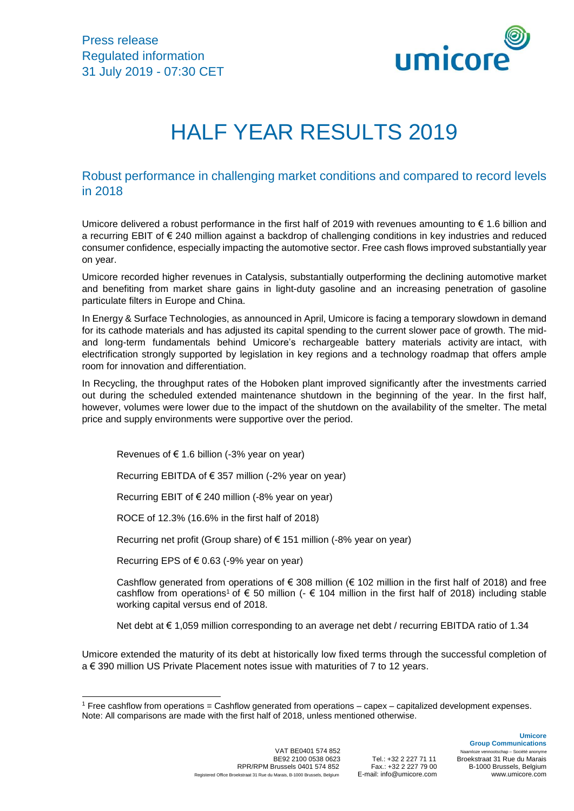

# HALF YEAR RESULTS 2019

# Robust performance in challenging market conditions and compared to record levels in 2018

Umicore delivered a robust performance in the first half of 2019 with revenues amounting to  $\epsilon$  1.6 billion and a recurring EBIT of € 240 million against a backdrop of challenging conditions in key industries and reduced consumer confidence, especially impacting the automotive sector. Free cash flows improved substantially year on year.

Umicore recorded higher revenues in Catalysis, substantially outperforming the declining automotive market and benefiting from market share gains in light-duty gasoline and an increasing penetration of gasoline particulate filters in Europe and China.

In Energy & Surface Technologies, as announced in April, Umicore is facing a temporary slowdown in demand for its cathode materials and has adjusted its capital spending to the current slower pace of growth. The midand long-term fundamentals behind Umicore's rechargeable battery materials activity are intact, with electrification strongly supported by legislation in key regions and a technology roadmap that offers ample room for innovation and differentiation.

In Recycling, the throughput rates of the Hoboken plant improved significantly after the investments carried out during the scheduled extended maintenance shutdown in the beginning of the year. In the first half, however, volumes were lower due to the impact of the shutdown on the availability of the smelter. The metal price and supply environments were supportive over the period.

Revenues of  $\epsilon$  1.6 billion (-3% year on year)

Recurring EBITDA of € 357 million (-2% year on year)

Recurring EBIT of  $\epsilon$  240 million (-8% year on year)

ROCE of 12.3% (16.6% in the first half of 2018)

Recurring net profit (Group share) of € 151 million (-8% year on year)

Recurring EPS of  $\epsilon$  0.63 (-9% year on year)

1

Cashflow generated from operations of  $\epsilon$  308 million ( $\epsilon$  102 million in the first half of 2018) and free cashflow from operations<sup>1</sup> of  $\epsilon$  50 million ( $\epsilon$  104 million in the first half of 2018) including stable working capital versus end of 2018.

Net debt at € 1,059 million corresponding to an average net debt / recurring EBITDA ratio of 1.34

Umicore extended the maturity of its debt at historically low fixed terms through the successful completion of a € 390 million US Private Placement notes issue with maturities of 7 to 12 years.

VAT BE0401 574 852<br>BE92 2100 0538 0623 Tel : +32 2 227 71 11 RPR/RPM Brussels 0401 574 852 Fax.: +32 2 227 79 00<br>
CORKSTraat 31 Rue du Marais, B-1000 Brussels, Belgium E-mail: info@umicore.com Registered Office Broekstraat <sup>31</sup> Rue du Marais, B-1000 Brussels, Belgium E-mail: info@umicore.com www.umicore.com

**Group Communications** BE92 2100 0538 0623 Tel.: +32 2 227 71 11 Broekstraat 31 Rue du Marais

**Umicore**

<sup>1</sup> Free cashflow from operations = Cashflow generated from operations – capex – capitalized development expenses. Note: All comparisons are made with the first half of 2018, unless mentioned otherwise.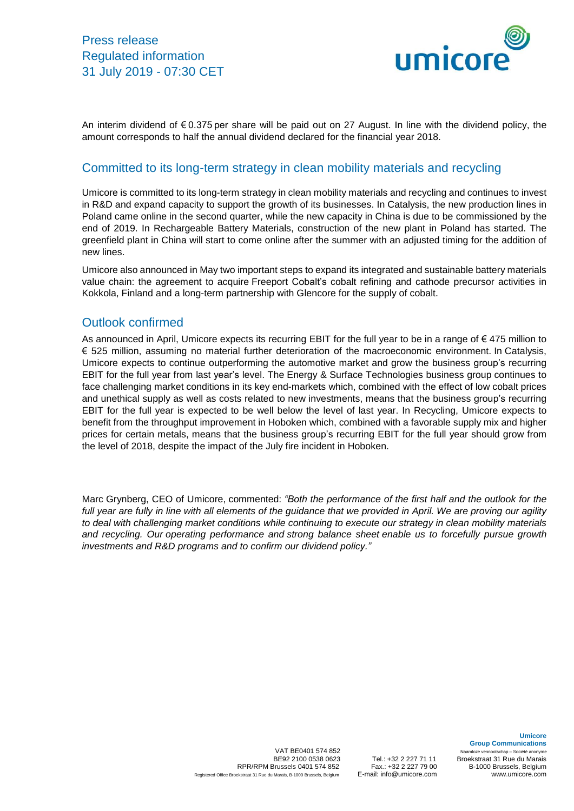

An interim dividend of € 0.375 per share will be paid out on 27 August. In line with the dividend policy, the amount corresponds to half the annual dividend declared for the financial year 2018.

### Committed to its long-term strategy in clean mobility materials and recycling

Umicore is committed to its long-term strategy in clean mobility materials and recycling and continues to invest in R&D and expand capacity to support the growth of its businesses. In Catalysis, the new production lines in Poland came online in the second quarter, while the new capacity in China is due to be commissioned by the end of 2019. In Rechargeable Battery Materials, construction of the new plant in Poland has started. The greenfield plant in China will start to come online after the summer with an adjusted timing for the addition of new lines.

Umicore also announced in May two important steps to expand its integrated and sustainable battery materials value chain: the agreement to acquire Freeport Cobalt's cobalt refining and cathode precursor activities in Kokkola, Finland and a long-term partnership with Glencore for the supply of cobalt.

### Outlook confirmed

As announced in April, Umicore expects its recurring EBIT for the full year to be in a range of  $\epsilon$  475 million to € 525 million, assuming no material further deterioration of the macroeconomic environment. In Catalysis, Umicore expects to continue outperforming the automotive market and grow the business group's recurring EBIT for the full year from last year's level. The Energy & Surface Technologies business group continues to face challenging market conditions in its key end-markets which, combined with the effect of low cobalt prices and unethical supply as well as costs related to new investments, means that the business group's recurring EBIT for the full year is expected to be well below the level of last year. In Recycling, Umicore expects to benefit from the throughput improvement in Hoboken which, combined with a favorable supply mix and higher prices for certain metals, means that the business group's recurring EBIT for the full year should grow from the level of 2018, despite the impact of the July fire incident in Hoboken.

Marc Grynberg, CEO of Umicore, commented: *"Both the performance of the first half and the outlook for the* full year are fully in line with all elements of the guidance that we provided in April. We are proving our agility *to deal with challenging market conditions while continuing to execute our strategy in clean mobility materials and recycling. Our operating performance and strong balance sheet enable us to forcefully pursue growth investments and R&D programs and to confirm our dividend policy."*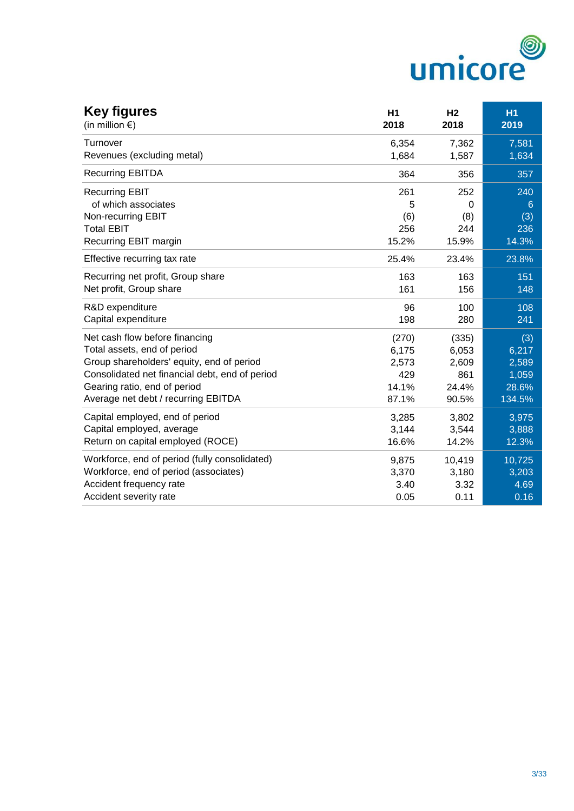

| <b>Key figures</b><br>(in million $\epsilon$ ) | H <sub>1</sub><br>2018 | H <sub>2</sub><br>2018 | <b>H1</b><br>2019 |
|------------------------------------------------|------------------------|------------------------|-------------------|
| Turnover                                       | 6,354                  | 7,362                  | 7,581             |
| Revenues (excluding metal)                     | 1,684                  | 1,587                  | 1,634             |
| <b>Recurring EBITDA</b>                        | 364                    | 356                    | 357               |
| <b>Recurring EBIT</b>                          | 261                    | 252                    | 240               |
| of which associates                            | 5                      | 0                      | 6                 |
| Non-recurring EBIT                             | (6)                    | (8)                    | (3)               |
| <b>Total EBIT</b>                              | 256                    | 244                    | 236               |
| Recurring EBIT margin                          | 15.2%                  | 15.9%                  | 14.3%             |
| Effective recurring tax rate                   | 25.4%                  | 23.4%                  | 23.8%             |
| Recurring net profit, Group share              | 163                    | 163                    | 151               |
| Net profit, Group share                        | 161                    | 156                    | 148               |
| R&D expenditure                                | 96                     | 100                    | 108               |
| Capital expenditure                            | 198                    | 280                    | 241               |
| Net cash flow before financing                 | (270)                  | (335)                  | (3)               |
| Total assets, end of period                    | 6,175                  | 6,053                  | 6,217             |
| Group shareholders' equity, end of period      | 2,573                  | 2,609                  | 2,589             |
| Consolidated net financial debt, end of period | 429                    | 861                    | 1,059             |
| Gearing ratio, end of period                   | 14.1%                  | 24.4%                  | 28.6%             |
| Average net debt / recurring EBITDA            | 87.1%                  | 90.5%                  | 134.5%            |
| Capital employed, end of period                | 3,285                  | 3,802                  | 3,975             |
| Capital employed, average                      | 3,144                  | 3,544                  | 3,888             |
| Return on capital employed (ROCE)              | 16.6%                  | 14.2%                  | 12.3%             |
| Workforce, end of period (fully consolidated)  | 9,875                  | 10,419                 | 10,725            |
| Workforce, end of period (associates)          | 3,370                  | 3,180                  | 3,203             |
| Accident frequency rate                        | 3.40                   | 3.32                   | 4.69              |
| Accident severity rate                         | 0.05                   | 0.11                   | 0.16              |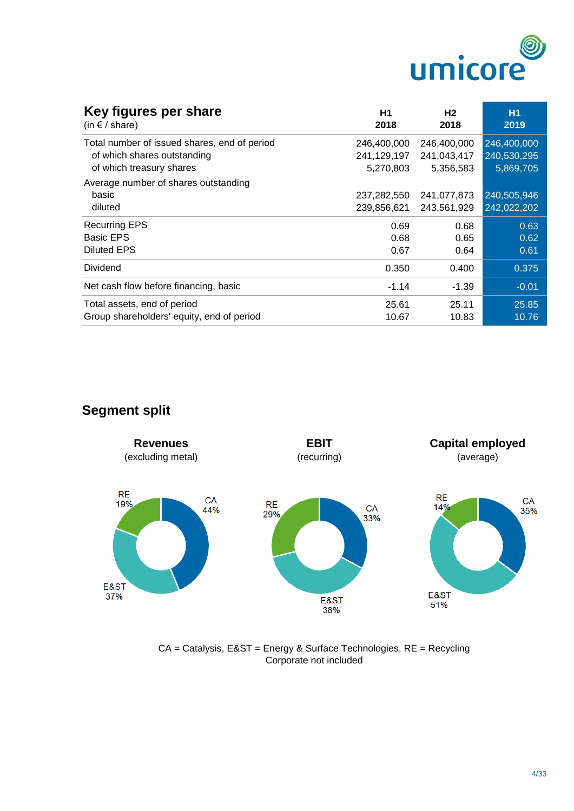

| Key figures per share<br>(in $f$ / share)    | H1<br>2018  | Н2<br>2018  | <b>H1</b><br>2019 |
|----------------------------------------------|-------------|-------------|-------------------|
| Total number of issued shares, end of period | 246,400,000 | 246,400,000 | 246,400,000       |
| of which shares outstanding                  | 241,129,197 | 241,043,417 | 240,530,295       |
| of which treasury shares                     | 5,270,803   | 5,356,583   | 5,869,705         |
| Average number of shares outstanding         |             |             |                   |
| basic                                        | 237,282,550 | 241,077,873 | 240,505,946       |
| diluted                                      | 239,856,621 | 243,561,929 | 242,022,202       |
| <b>Recurring EPS</b>                         | 0.69        | 0.68        | 0.63              |
| <b>Basic EPS</b>                             | 0.68        | 0.65        | 0.62              |
| <b>Diluted EPS</b>                           | 0.67        | 0.64        | 0.61              |
| <b>Dividend</b>                              | 0.350       | 0.400       | 0.375             |
| Net cash flow before financing, basic        | $-1.14$     | $-1.39$     | $-0.01$           |
| Total assets, end of period                  | 25.61       | 25.11       | 25.85             |
| Group shareholders' equity, end of period    | 10.67       | 10.83       | 10.76             |

# **Segment split**



CA = Catalysis, E&ST = Energy & Surface Technologies, RE = Recycling Corporate not included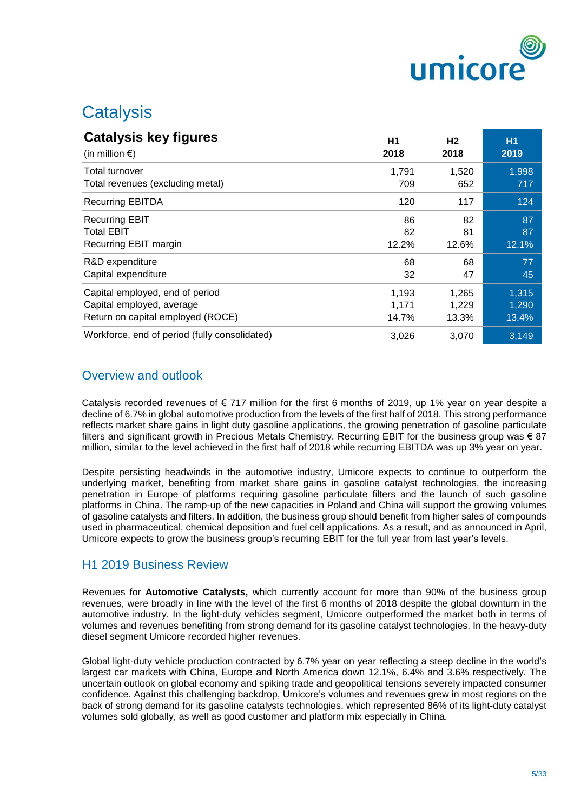

# **Catalysis**

| <b>Catalysis key figures</b>                  | H1    | H <sub>2</sub> | <b>H1</b> |
|-----------------------------------------------|-------|----------------|-----------|
| (in million $\epsilon$ )                      | 2018  | 2018           | 2019      |
| Total turnover                                | 1,791 | 1,520          | 1,998     |
| Total revenues (excluding metal)              | 709   | 652            | 717       |
| <b>Recurring EBITDA</b>                       | 120   | 117            | 124       |
| <b>Recurring EBIT</b>                         | 86    | 82             | 87        |
| <b>Total EBIT</b>                             | 82    | 81             | 87        |
| Recurring EBIT margin                         | 12.2% | 12.6%          | 12.1%     |
| R&D expenditure                               | 68    | 68             | 77        |
| Capital expenditure                           | 32    | 47             | 45        |
| Capital employed, end of period               | 1,193 | 1,265          | 1,315     |
| Capital employed, average                     | 1,171 | 1,229          | 1,290     |
| Return on capital employed (ROCE)             | 14.7% | 13.3%          | 13.4%     |
| Workforce, end of period (fully consolidated) | 3,026 | 3,070          | 3,149     |

# Overview and outlook

Catalysis recorded revenues of  $\epsilon$  717 million for the first 6 months of 2019, up 1% year on year despite a decline of 6.7% in global automotive production from the levels of the first half of 2018. This strong performance reflects market share gains in light duty gasoline applications, the growing penetration of gasoline particulate filters and significant growth in Precious Metals Chemistry. Recurring EBIT for the business group was € 87 million, similar to the level achieved in the first half of 2018 while recurring EBITDA was up 3% year on year.

Despite persisting headwinds in the automotive industry, Umicore expects to continue to outperform the underlying market, benefiting from market share gains in gasoline catalyst technologies, the increasing penetration in Europe of platforms requiring gasoline particulate filters and the launch of such gasoline platforms in China. The ramp-up of the new capacities in Poland and China will support the growing volumes of gasoline catalysts and filters. In addition, the business group should benefit from higher sales of compounds used in pharmaceutical, chemical deposition and fuel cell applications. As a result, and as announced in April, Umicore expects to grow the business group's recurring EBIT for the full year from last year's levels.

# H1 2019 Business Review

Revenues for **Automotive Catalysts,** which currently account for more than 90% of the business group revenues, were broadly in line with the level of the first 6 months of 2018 despite the global downturn in the automotive industry. In the light-duty vehicles segment, Umicore outperformed the market both in terms of volumes and revenues benefiting from strong demand for its gasoline catalyst technologies. In the heavy-duty diesel segment Umicore recorded higher revenues.

Global light-duty vehicle production contracted by 6.7% year on year reflecting a steep decline in the world's largest car markets with China, Europe and North America down 12.1%, 6.4% and 3.6% respectively. The uncertain outlook on global economy and spiking trade and geopolitical tensions severely impacted consumer confidence. Against this challenging backdrop, Umicore's volumes and revenues grew in most regions on the back of strong demand for its gasoline catalysts technologies, which represented 86% of its light-duty catalyst volumes sold globally, as well as good customer and platform mix especially in China.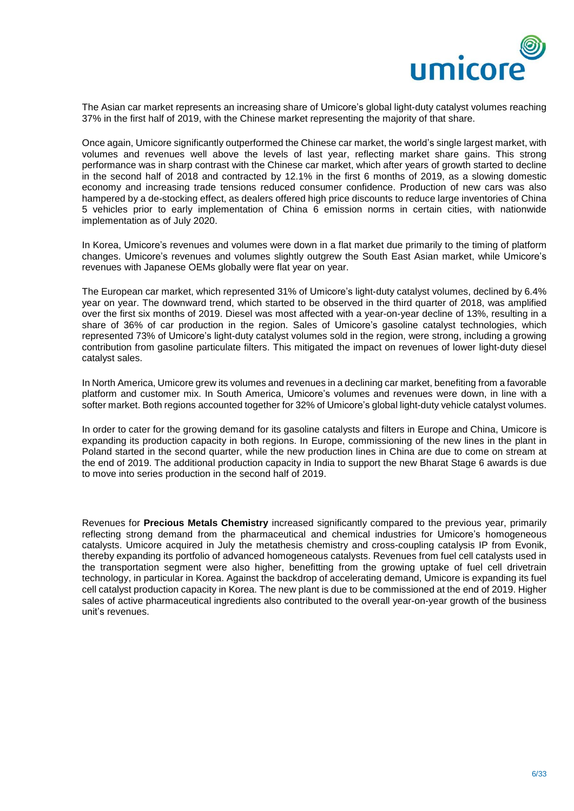

The Asian car market represents an increasing share of Umicore's global light-duty catalyst volumes reaching 37% in the first half of 2019, with the Chinese market representing the majority of that share.

Once again, Umicore significantly outperformed the Chinese car market, the world's single largest market, with volumes and revenues well above the levels of last year, reflecting market share gains. This strong performance was in sharp contrast with the Chinese car market, which after years of growth started to decline in the second half of 2018 and contracted by 12.1% in the first 6 months of 2019, as a slowing domestic economy and increasing trade tensions reduced consumer confidence. Production of new cars was also hampered by a de-stocking effect, as dealers offered high price discounts to reduce large inventories of China 5 vehicles prior to early implementation of China 6 emission norms in certain cities, with nationwide implementation as of July 2020.

In Korea, Umicore's revenues and volumes were down in a flat market due primarily to the timing of platform changes. Umicore's revenues and volumes slightly outgrew the South East Asian market, while Umicore's revenues with Japanese OEMs globally were flat year on year.

The European car market, which represented 31% of Umicore's light-duty catalyst volumes, declined by 6.4% year on year. The downward trend, which started to be observed in the third quarter of 2018, was amplified over the first six months of 2019. Diesel was most affected with a year-on-year decline of 13%, resulting in a share of 36% of car production in the region. Sales of Umicore's gasoline catalyst technologies, which represented 73% of Umicore's light-duty catalyst volumes sold in the region, were strong, including a growing contribution from gasoline particulate filters. This mitigated the impact on revenues of lower light-duty diesel catalyst sales.

In North America, Umicore grew its volumes and revenues in a declining car market, benefiting from a favorable platform and customer mix. In South America, Umicore's volumes and revenues were down, in line with a softer market. Both regions accounted together for 32% of Umicore's global light-duty vehicle catalyst volumes.

In order to cater for the growing demand for its gasoline catalysts and filters in Europe and China, Umicore is expanding its production capacity in both regions. In Europe, commissioning of the new lines in the plant in Poland started in the second quarter, while the new production lines in China are due to come on stream at the end of 2019. The additional production capacity in India to support the new Bharat Stage 6 awards is due to move into series production in the second half of 2019.

Revenues for **Precious Metals Chemistry** increased significantly compared to the previous year, primarily reflecting strong demand from the pharmaceutical and chemical industries for Umicore's homogeneous catalysts. Umicore acquired in July the metathesis chemistry and cross-coupling catalysis IP from Evonik, thereby expanding its portfolio of advanced homogeneous catalysts. Revenues from fuel cell catalysts used in the transportation segment were also higher, benefitting from the growing uptake of fuel cell drivetrain technology, in particular in Korea. Against the backdrop of accelerating demand, Umicore is expanding its fuel cell catalyst production capacity in Korea. The new plant is due to be commissioned at the end of 2019. Higher sales of active pharmaceutical ingredients also contributed to the overall year-on-year growth of the business unit's revenues.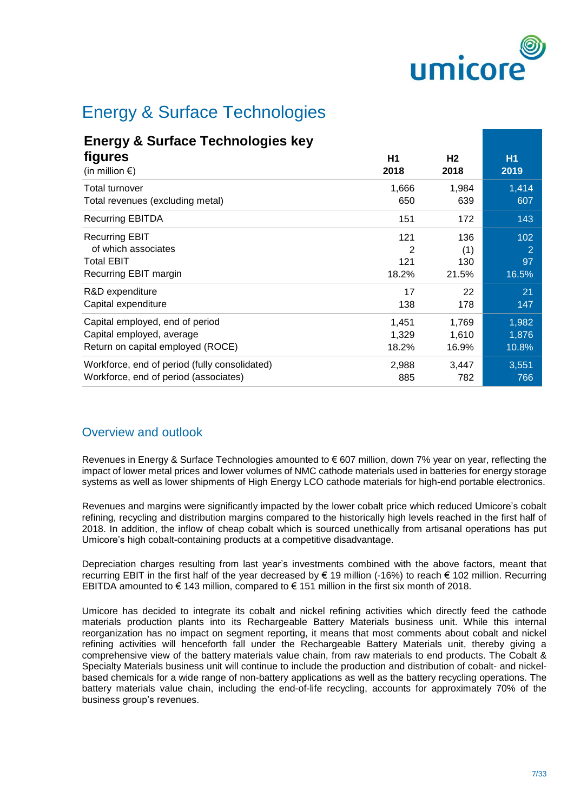

# Energy & Surface Technologies

# **Energy & Surface Technologies key**

| figures                                       | H <sub>1</sub> | H <sub>2</sub> | <b>H1</b> |
|-----------------------------------------------|----------------|----------------|-----------|
| (in million $\epsilon$ )                      | 2018           | 2018           | 2019      |
| Total turnover                                | 1,666          | 1,984          | 1,414     |
| Total revenues (excluding metal)              | 650            | 639            | 607       |
| <b>Recurring EBITDA</b>                       | 151            | 172            | 143       |
| <b>Recurring EBIT</b>                         | 121            | 136            | 102       |
| of which associates                           | 2              | (1)            | 2         |
| <b>Total EBIT</b>                             | 121            | 130            | 97        |
| Recurring EBIT margin                         | 18.2%          | 21.5%          | 16.5%     |
| R&D expenditure                               | 17             | 22             | 21        |
| Capital expenditure                           | 138            | 178            | 147       |
| Capital employed, end of period               | 1,451          | 1,769          | 1,982     |
| Capital employed, average                     | 1,329          | 1,610          | 1,876     |
| Return on capital employed (ROCE)             | 18.2%          | 16.9%          | 10.8%     |
| Workforce, end of period (fully consolidated) | 2,988          | 3,447          | 3,551     |
| Workforce, end of period (associates)         | 885            | 782            | 766       |

# Overview and outlook

Revenues in Energy & Surface Technologies amounted to € 607 million, down 7% year on year, reflecting the impact of lower metal prices and lower volumes of NMC cathode materials used in batteries for energy storage systems as well as lower shipments of High Energy LCO cathode materials for high-end portable electronics.

Revenues and margins were significantly impacted by the lower cobalt price which reduced Umicore's cobalt refining, recycling and distribution margins compared to the historically high levels reached in the first half of 2018. In addition, the inflow of cheap cobalt which is sourced unethically from artisanal operations has put Umicore's high cobalt-containing products at a competitive disadvantage.

Depreciation charges resulting from last year's investments combined with the above factors, meant that recurring EBIT in the first half of the year decreased by € 19 million (-16%) to reach € 102 million. Recurring EBITDA amounted to € 143 million, compared to € 151 million in the first six month of 2018.

Umicore has decided to integrate its cobalt and nickel refining activities which directly feed the cathode materials production plants into its Rechargeable Battery Materials business unit. While this internal reorganization has no impact on segment reporting, it means that most comments about cobalt and nickel refining activities will henceforth fall under the Rechargeable Battery Materials unit, thereby giving a comprehensive view of the battery materials value chain, from raw materials to end products. The Cobalt & Specialty Materials business unit will continue to include the production and distribution of cobalt- and nickelbased chemicals for a wide range of non-battery applications as well as the battery recycling operations. The battery materials value chain, including the end-of-life recycling, accounts for approximately 70% of the business group's revenues.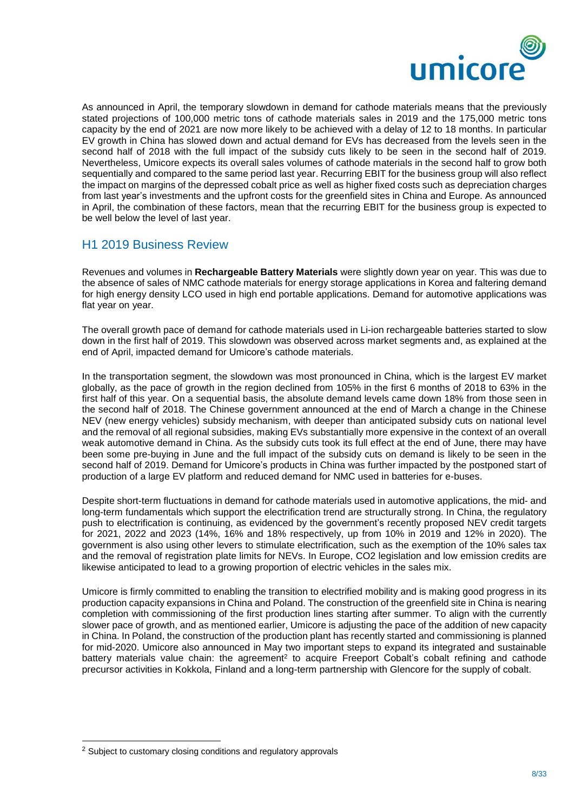

As announced in April, the temporary slowdown in demand for cathode materials means that the previously stated projections of 100,000 metric tons of cathode materials sales in 2019 and the 175,000 metric tons capacity by the end of 2021 are now more likely to be achieved with a delay of 12 to 18 months. In particular EV growth in China has slowed down and actual demand for EVs has decreased from the levels seen in the second half of 2018 with the full impact of the subsidy cuts likely to be seen in the second half of 2019. Nevertheless, Umicore expects its overall sales volumes of cathode materials in the second half to grow both sequentially and compared to the same period last year. Recurring EBIT for the business group will also reflect the impact on margins of the depressed cobalt price as well as higher fixed costs such as depreciation charges from last year's investments and the upfront costs for the greenfield sites in China and Europe. As announced in April, the combination of these factors, mean that the recurring EBIT for the business group is expected to be well below the level of last year.

## H1 2019 Business Review

Revenues and volumes in **Rechargeable Battery Materials** were slightly down year on year. This was due to the absence of sales of NMC cathode materials for energy storage applications in Korea and faltering demand for high energy density LCO used in high end portable applications. Demand for automotive applications was flat year on year.

The overall growth pace of demand for cathode materials used in Li-ion rechargeable batteries started to slow down in the first half of 2019. This slowdown was observed across market segments and, as explained at the end of April, impacted demand for Umicore's cathode materials.

In the transportation segment, the slowdown was most pronounced in China, which is the largest EV market globally, as the pace of growth in the region declined from 105% in the first 6 months of 2018 to 63% in the first half of this year. On a sequential basis, the absolute demand levels came down 18% from those seen in the second half of 2018. The Chinese government announced at the end of March a change in the Chinese NEV (new energy vehicles) subsidy mechanism, with deeper than anticipated subsidy cuts on national level and the removal of all regional subsidies, making EVs substantially more expensive in the context of an overall weak automotive demand in China. As the subsidy cuts took its full effect at the end of June, there may have been some pre-buying in June and the full impact of the subsidy cuts on demand is likely to be seen in the second half of 2019. Demand for Umicore's products in China was further impacted by the postponed start of production of a large EV platform and reduced demand for NMC used in batteries for e-buses.

Despite short-term fluctuations in demand for cathode materials used in automotive applications, the mid- and long-term fundamentals which support the electrification trend are structurally strong. In China, the regulatory push to electrification is continuing, as evidenced by the government's recently proposed NEV credit targets for 2021, 2022 and 2023 (14%, 16% and 18% respectively, up from 10% in 2019 and 12% in 2020). The government is also using other levers to stimulate electrification, such as the exemption of the 10% sales tax and the removal of registration plate limits for NEVs. In Europe, CO2 legislation and low emission credits are likewise anticipated to lead to a growing proportion of electric vehicles in the sales mix.

Umicore is firmly committed to enabling the transition to electrified mobility and is making good progress in its production capacity expansions in China and Poland. The construction of the greenfield site in China is nearing completion with commissioning of the first production lines starting after summer. To align with the currently slower pace of growth, and as mentioned earlier, Umicore is adjusting the pace of the addition of new capacity in China. In Poland, the construction of the production plant has recently started and commissioning is planned for mid-2020. Umicore also announced in May two important steps to expand its integrated and sustainable battery materials value chain: the agreement<sup>2</sup> to acquire Freeport Cobalt's cobalt refining and cathode precursor activities in Kokkola, Finland and a long-term partnership with Glencore for the supply of cobalt.

-

<sup>2</sup> Subject to customary closing conditions and regulatory approvals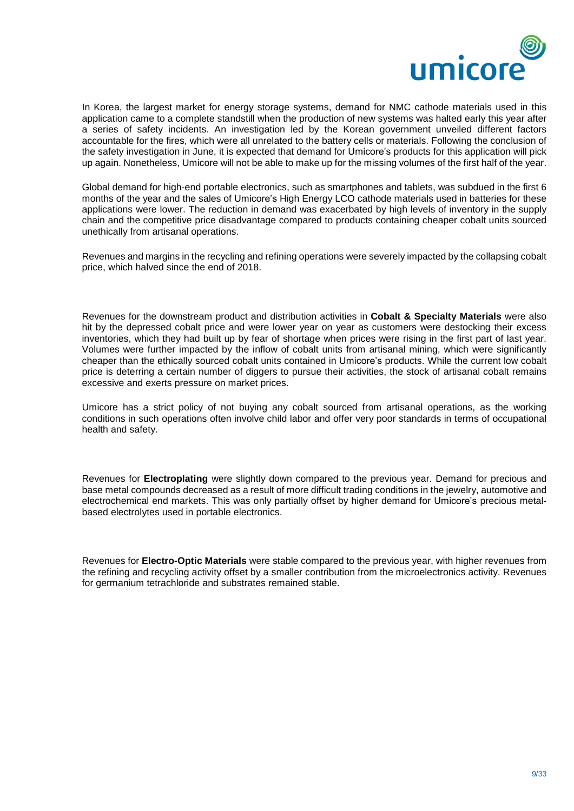

In Korea, the largest market for energy storage systems, demand for NMC cathode materials used in this application came to a complete standstill when the production of new systems was halted early this year after a series of safety incidents. An investigation led by the Korean government unveiled different factors accountable for the fires, which were all unrelated to the battery cells or materials. Following the conclusion of the safety investigation in June, it is expected that demand for Umicore's products for this application will pick up again. Nonetheless, Umicore will not be able to make up for the missing volumes of the first half of the year.

Global demand for high-end portable electronics, such as smartphones and tablets, was subdued in the first 6 months of the year and the sales of Umicore's High Energy LCO cathode materials used in batteries for these applications were lower. The reduction in demand was exacerbated by high levels of inventory in the supply chain and the competitive price disadvantage compared to products containing cheaper cobalt units sourced unethically from artisanal operations.

Revenues and margins in the recycling and refining operations were severely impacted by the collapsing cobalt price, which halved since the end of 2018.

Revenues for the downstream product and distribution activities in **Cobalt & Specialty Materials** were also hit by the depressed cobalt price and were lower year on year as customers were destocking their excess inventories, which they had built up by fear of shortage when prices were rising in the first part of last year. Volumes were further impacted by the inflow of cobalt units from artisanal mining, which were significantly cheaper than the ethically sourced cobalt units contained in Umicore's products. While the current low cobalt price is deterring a certain number of diggers to pursue their activities, the stock of artisanal cobalt remains excessive and exerts pressure on market prices.

Umicore has a strict policy of not buying any cobalt sourced from artisanal operations, as the working conditions in such operations often involve child labor and offer very poor standards in terms of occupational health and safety.

Revenues for **Electroplating** were slightly down compared to the previous year. Demand for precious and base metal compounds decreased as a result of more difficult trading conditions in the jewelry, automotive and electrochemical end markets. This was only partially offset by higher demand for Umicore's precious metalbased electrolytes used in portable electronics.

Revenues for **Electro-Optic Materials** were stable compared to the previous year, with higher revenues from the refining and recycling activity offset by a smaller contribution from the microelectronics activity. Revenues for germanium tetrachloride and substrates remained stable.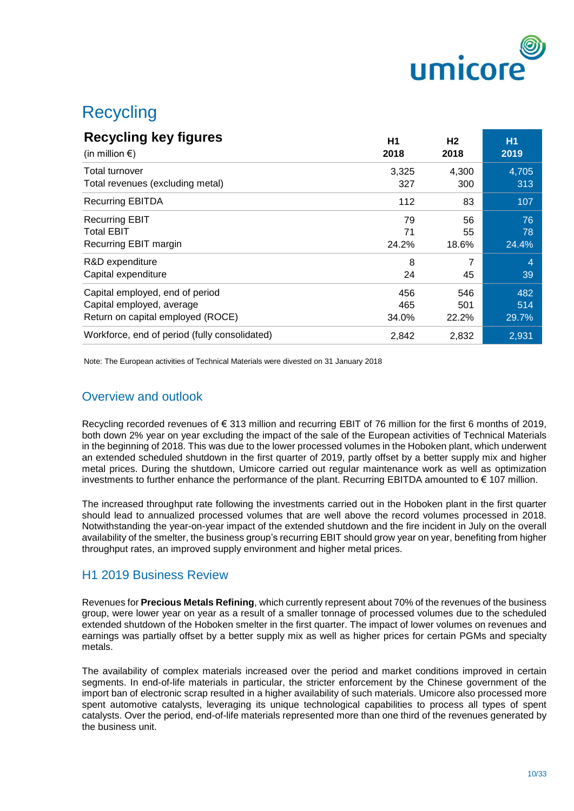

# **Recycling**

| <b>Recycling key figures</b>                  | H1    | H <sub>2</sub> | <b>H1</b>      |
|-----------------------------------------------|-------|----------------|----------------|
| (in million $\epsilon$ )                      | 2018  | 2018           | 2019           |
| Total turnover                                | 3,325 | 4,300          | 4,705          |
| Total revenues (excluding metal)              | 327   | 300            | 313            |
| <b>Recurring EBITDA</b>                       | 112   | 83             | 107            |
| <b>Recurring EBIT</b>                         | 79    | 56             | 76             |
| <b>Total EBIT</b>                             | 71    | 55             | 78             |
| Recurring EBIT margin                         | 24.2% | 18.6%          | 24.4%          |
| R&D expenditure                               | 8     | 45             | $\overline{4}$ |
| Capital expenditure                           | 24    |                | 39             |
| Capital employed, end of period               | 456   | 546            | 482            |
| Capital employed, average                     | 465   | 501            | 514            |
| Return on capital employed (ROCE)             | 34.0% | 22.2%          | 29.7%          |
| Workforce, end of period (fully consolidated) | 2,842 | 2,832          | 2,931          |

Note: The European activities of Technical Materials were divested on 31 January 2018

## Overview and outlook

Recycling recorded revenues of € 313 million and recurring EBIT of 76 million for the first 6 months of 2019, both down 2% year on year excluding the impact of the sale of the European activities of Technical Materials in the beginning of 2018. This was due to the lower processed volumes in the Hoboken plant, which underwent an extended scheduled shutdown in the first quarter of 2019, partly offset by a better supply mix and higher metal prices. During the shutdown, Umicore carried out regular maintenance work as well as optimization investments to further enhance the performance of the plant. Recurring EBITDA amounted to € 107 million.

The increased throughput rate following the investments carried out in the Hoboken plant in the first quarter should lead to annualized processed volumes that are well above the record volumes processed in 2018. Notwithstanding the year-on-year impact of the extended shutdown and the fire incident in July on the overall availability of the smelter, the business group's recurring EBIT should grow year on year, benefiting from higher throughput rates, an improved supply environment and higher metal prices.

### H1 2019 Business Review

Revenues for **Precious Metals Refining**, which currently represent about 70% of the revenues of the business group, were lower year on year as a result of a smaller tonnage of processed volumes due to the scheduled extended shutdown of the Hoboken smelter in the first quarter. The impact of lower volumes on revenues and earnings was partially offset by a better supply mix as well as higher prices for certain PGMs and specialty metals.

The availability of complex materials increased over the period and market conditions improved in certain segments. In end-of-life materials in particular, the stricter enforcement by the Chinese government of the import ban of electronic scrap resulted in a higher availability of such materials. Umicore also processed more spent automotive catalysts, leveraging its unique technological capabilities to process all types of spent catalysts. Over the period, end-of-life materials represented more than one third of the revenues generated by the business unit.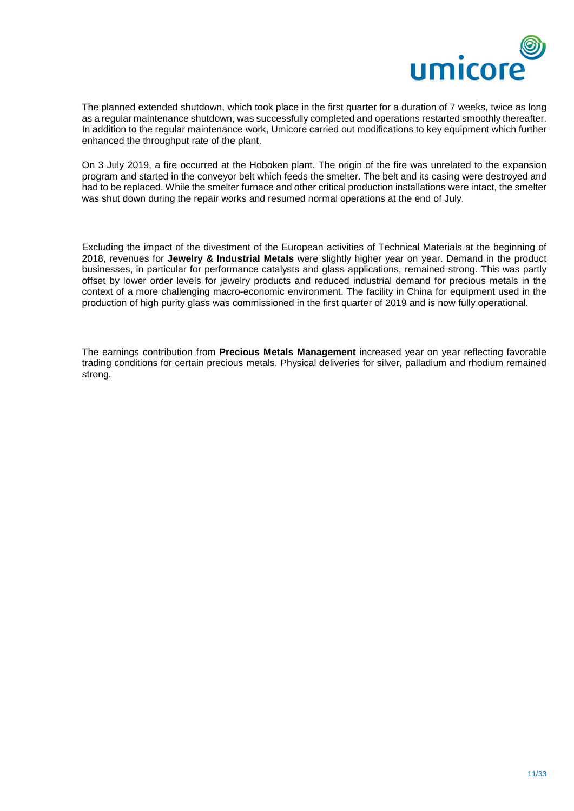

The planned extended shutdown, which took place in the first quarter for a duration of 7 weeks, twice as long as a regular maintenance shutdown, was successfully completed and operations restarted smoothly thereafter. In addition to the regular maintenance work, Umicore carried out modifications to key equipment which further enhanced the throughput rate of the plant.

On 3 July 2019, a fire occurred at the Hoboken plant. The origin of the fire was unrelated to the expansion program and started in the conveyor belt which feeds the smelter. The belt and its casing were destroyed and had to be replaced. While the smelter furnace and other critical production installations were intact, the smelter was shut down during the repair works and resumed normal operations at the end of July.

Excluding the impact of the divestment of the European activities of Technical Materials at the beginning of 2018, revenues for **Jewelry & Industrial Metals** were slightly higher year on year. Demand in the product businesses, in particular for performance catalysts and glass applications, remained strong. This was partly offset by lower order levels for jewelry products and reduced industrial demand for precious metals in the context of a more challenging macro-economic environment. The facility in China for equipment used in the production of high purity glass was commissioned in the first quarter of 2019 and is now fully operational.

The earnings contribution from **Precious Metals Management** increased year on year reflecting favorable trading conditions for certain precious metals. Physical deliveries for silver, palladium and rhodium remained strong.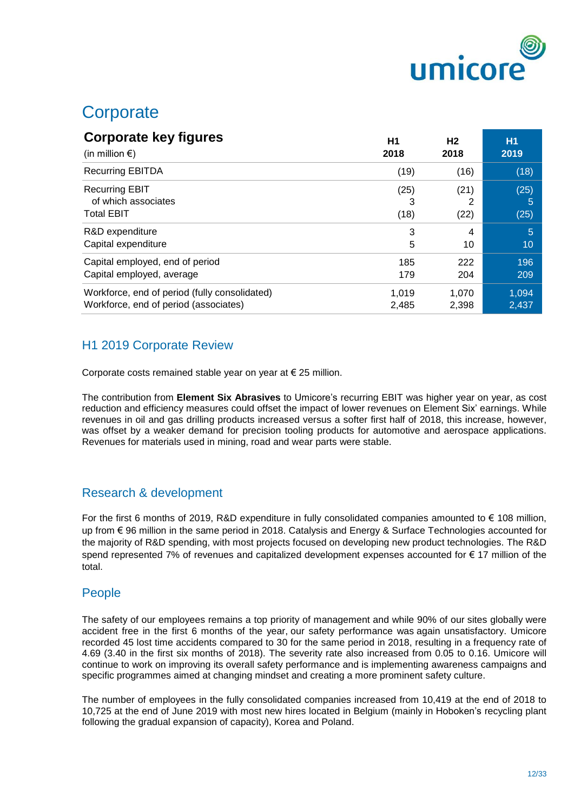

# **Corporate**

| <b>Corporate key figures</b>                                      | H <sub>1</sub>    | H <sub>2</sub> | <b>H1</b>         |
|-------------------------------------------------------------------|-------------------|----------------|-------------------|
| (in million $\epsilon$ )                                          | 2018              | 2018           | 2019              |
| <b>Recurring EBITDA</b>                                           | (19)              | (16)           | (18)              |
| <b>Recurring EBIT</b><br>of which associates<br><b>Total EBIT</b> | (25)<br>3<br>(18) | (21)<br>(22)   | (25)<br>5<br>(25) |
| R&D expenditure                                                   | 3                 | 4              | 5                 |
| Capital expenditure                                               | 5                 | 10             | 10                |
| Capital employed, end of period                                   | 185               | 222            | 196               |
| Capital employed, average                                         | 179               | 204            | 209               |
| Workforce, end of period (fully consolidated)                     | 1.019             | 1.070          | 1,094             |
| Workforce, end of period (associates)                             | 2,485             | 2,398          | 2,437             |

# H1 2019 Corporate Review

Corporate costs remained stable year on year at € 25 million.

The contribution from **Element Six Abrasives** to Umicore's recurring EBIT was higher year on year, as cost reduction and efficiency measures could offset the impact of lower revenues on Element Six' earnings. While revenues in oil and gas drilling products increased versus a softer first half of 2018, this increase, however, was offset by a weaker demand for precision tooling products for automotive and aerospace applications. Revenues for materials used in mining, road and wear parts were stable.

# Research & development

For the first 6 months of 2019, R&D expenditure in fully consolidated companies amounted to € 108 million, up from € 96 million in the same period in 2018. Catalysis and Energy & Surface Technologies accounted for the majority of R&D spending, with most projects focused on developing new product technologies. The R&D spend represented 7% of revenues and capitalized development expenses accounted for € 17 million of the total.

# People

The safety of our employees remains a top priority of management and while 90% of our sites globally were accident free in the first 6 months of the year, our safety performance was again unsatisfactory. Umicore recorded 45 lost time accidents compared to 30 for the same period in 2018, resulting in a frequency rate of 4.69 (3.40 in the first six months of 2018). The severity rate also increased from 0.05 to 0.16. Umicore will continue to work on improving its overall safety performance and is implementing awareness campaigns and specific programmes aimed at changing mindset and creating a more prominent safety culture.

The number of employees in the fully consolidated companies increased from 10,419 at the end of 2018 to 10,725 at the end of June 2019 with most new hires located in Belgium (mainly in Hoboken's recycling plant following the gradual expansion of capacity), Korea and Poland.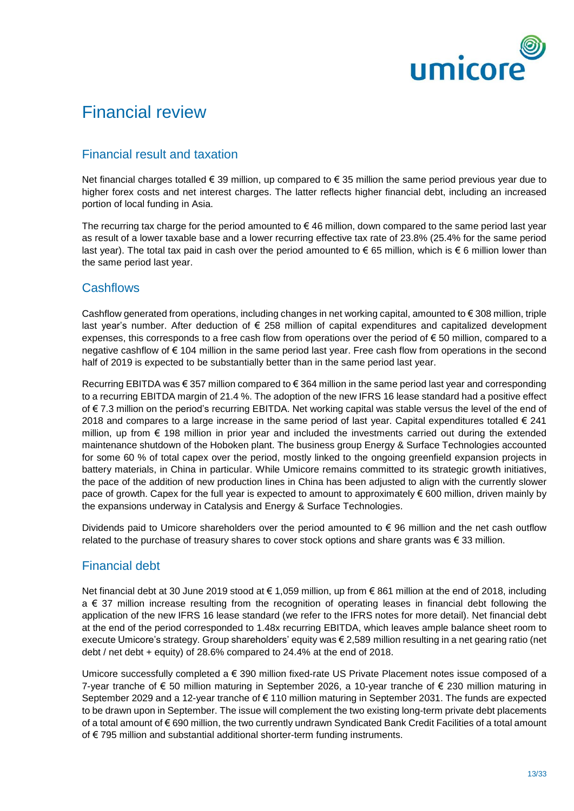

# Financial review

# Financial result and taxation

Net financial charges totalled € 39 million, up compared to € 35 million the same period previous year due to higher forex costs and net interest charges. The latter reflects higher financial debt, including an increased portion of local funding in Asia.

The recurring tax charge for the period amounted to  $\epsilon$  46 million, down compared to the same period last year as result of a lower taxable base and a lower recurring effective tax rate of 23.8% (25.4% for the same period last year). The total tax paid in cash over the period amounted to  $\epsilon$  65 million, which is  $\epsilon$  6 million lower than the same period last year.

## **Cashflows**

Cashflow generated from operations, including changes in net working capital, amounted to  $\epsilon$  308 million, triple last year's number. After deduction of € 258 million of capital expenditures and capitalized development expenses, this corresponds to a free cash flow from operations over the period of € 50 million, compared to a negative cashflow of € 104 million in the same period last year. Free cash flow from operations in the second half of 2019 is expected to be substantially better than in the same period last year.

Recurring EBITDA was € 357 million compared to € 364 million in the same period last year and corresponding to a recurring EBITDA margin of 21.4 %. The adoption of the new IFRS 16 lease standard had a positive effect of € 7.3 million on the period's recurring EBITDA. Net working capital was stable versus the level of the end of 2018 and compares to a large increase in the same period of last year. Capital expenditures totalled  $\epsilon$  241 million, up from € 198 million in prior year and included the investments carried out during the extended maintenance shutdown of the Hoboken plant. The business group Energy & Surface Technologies accounted for some 60 % of total capex over the period, mostly linked to the ongoing greenfield expansion projects in battery materials, in China in particular. While Umicore remains committed to its strategic growth initiatives, the pace of the addition of new production lines in China has been adjusted to align with the currently slower pace of growth. Capex for the full year is expected to amount to approximately € 600 million, driven mainly by the expansions underway in Catalysis and Energy & Surface Technologies.

Dividends paid to Umicore shareholders over the period amounted to € 96 million and the net cash outflow related to the purchase of treasury shares to cover stock options and share grants was  $\epsilon$  33 million.

# Financial debt

Net financial debt at 30 June 2019 stood at € 1,059 million, up from € 861 million at the end of 2018, including a € 37 million increase resulting from the recognition of operating leases in financial debt following the application of the new IFRS 16 lease standard (we refer to the IFRS notes for more detail). Net financial debt at the end of the period corresponded to 1.48x recurring EBITDA, which leaves ample balance sheet room to execute Umicore's strategy. Group shareholders' equity was € 2,589 million resulting in a net gearing ratio (net debt / net debt + equity) of 28.6% compared to 24.4% at the end of 2018.

Umicore successfully completed a € 390 million fixed-rate US Private Placement notes issue composed of a 7-year tranche of € 50 million maturing in September 2026, a 10-year tranche of € 230 million maturing in September 2029 and a 12-year tranche of € 110 million maturing in September 2031. The funds are expected to be drawn upon in September. The issue will complement the two existing long-term private debt placements of a total amount of € 690 million, the two currently undrawn Syndicated Bank Credit Facilities of a total amount of € 795 million and substantial additional shorter-term funding instruments.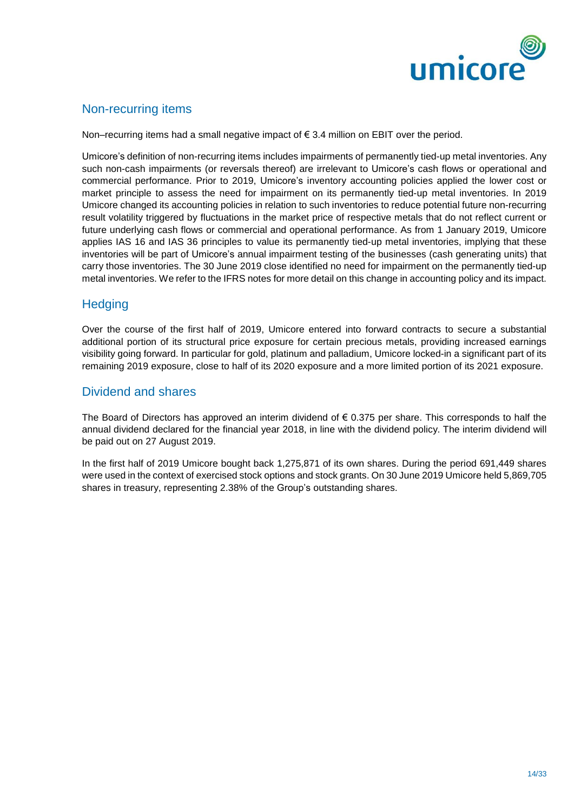

# Non-recurring items

Non–recurring items had a small negative impact of  $\epsilon$  3.4 million on EBIT over the period.

Umicore's definition of non-recurring items includes impairments of permanently tied-up metal inventories. Any such non-cash impairments (or reversals thereof) are irrelevant to Umicore's cash flows or operational and commercial performance. Prior to 2019, Umicore's inventory accounting policies applied the lower cost or market principle to assess the need for impairment on its permanently tied-up metal inventories. In 2019 Umicore changed its accounting policies in relation to such inventories to reduce potential future non-recurring result volatility triggered by fluctuations in the market price of respective metals that do not reflect current or future underlying cash flows or commercial and operational performance. As from 1 January 2019, Umicore applies IAS 16 and IAS 36 principles to value its permanently tied-up metal inventories, implying that these inventories will be part of Umicore's annual impairment testing of the businesses (cash generating units) that carry those inventories. The 30 June 2019 close identified no need for impairment on the permanently tied-up metal inventories. We refer to the IFRS notes for more detail on this change in accounting policy and its impact.

# **Hedging**

Over the course of the first half of 2019, Umicore entered into forward contracts to secure a substantial additional portion of its structural price exposure for certain precious metals, providing increased earnings visibility going forward. In particular for gold, platinum and palladium, Umicore locked-in a significant part of its remaining 2019 exposure, close to half of its 2020 exposure and a more limited portion of its 2021 exposure.

## Dividend and shares

The Board of Directors has approved an interim dividend of  $\epsilon$  0.375 per share. This corresponds to half the annual dividend declared for the financial year 2018, in line with the dividend policy. The interim dividend will be paid out on 27 August 2019.

In the first half of 2019 Umicore bought back 1,275,871 of its own shares. During the period 691,449 shares were used in the context of exercised stock options and stock grants. On 30 June 2019 Umicore held 5,869,705 shares in treasury, representing 2.38% of the Group's outstanding shares.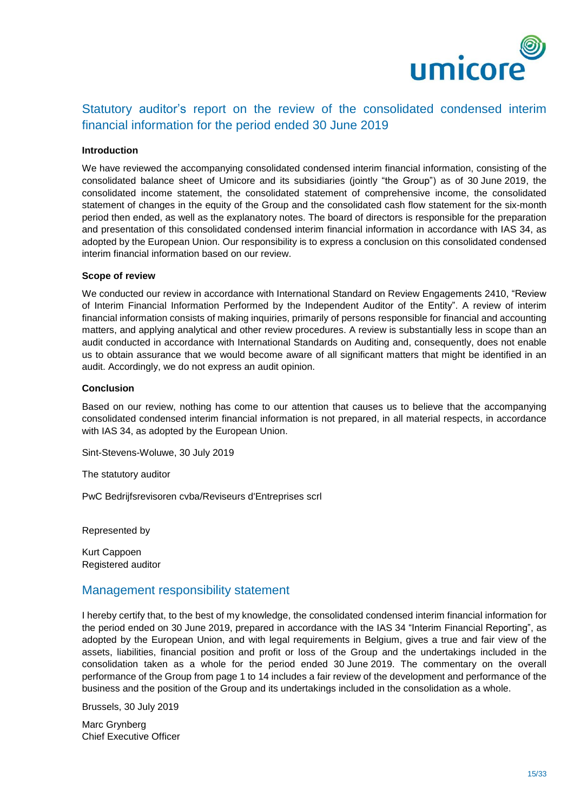

# Statutory auditor's report on the review of the consolidated condensed interim financial information for the period ended 30 June 2019

#### **Introduction**

We have reviewed the accompanying consolidated condensed interim financial information, consisting of the consolidated balance sheet of Umicore and its subsidiaries (jointly "the Group") as of 30 June 2019, the consolidated income statement, the consolidated statement of comprehensive income, the consolidated statement of changes in the equity of the Group and the consolidated cash flow statement for the six-month period then ended, as well as the explanatory notes. The board of directors is responsible for the preparation and presentation of this consolidated condensed interim financial information in accordance with IAS 34, as adopted by the European Union. Our responsibility is to express a conclusion on this consolidated condensed interim financial information based on our review.

#### **Scope of review**

We conducted our review in accordance with International Standard on Review Engagements 2410, "Review of Interim Financial Information Performed by the Independent Auditor of the Entity". A review of interim financial information consists of making inquiries, primarily of persons responsible for financial and accounting matters, and applying analytical and other review procedures. A review is substantially less in scope than an audit conducted in accordance with International Standards on Auditing and, consequently, does not enable us to obtain assurance that we would become aware of all significant matters that might be identified in an audit. Accordingly, we do not express an audit opinion.

#### **Conclusion**

Based on our review, nothing has come to our attention that causes us to believe that the accompanying consolidated condensed interim financial information is not prepared, in all material respects, in accordance with IAS 34, as adopted by the European Union.

Sint-Stevens-Woluwe, 30 July 2019

The statutory auditor

PwC Bedrijfsrevisoren cvba/Reviseurs d'Entreprises scrl

Represented by

Kurt Cappoen Registered auditor

### Management responsibility statement

I hereby certify that, to the best of my knowledge, the consolidated condensed interim financial information for the period ended on 30 June 2019, prepared in accordance with the IAS 34 "Interim Financial Reporting", as adopted by the European Union, and with legal requirements in Belgium, gives a true and fair view of the assets, liabilities, financial position and profit or loss of the Group and the undertakings included in the consolidation taken as a whole for the period ended 30 June 2019. The commentary on the overall performance of the Group from page 1 to 14 includes a fair review of the development and performance of the business and the position of the Group and its undertakings included in the consolidation as a whole.

Brussels, 30 July 2019

Marc Grynberg Chief Executive Officer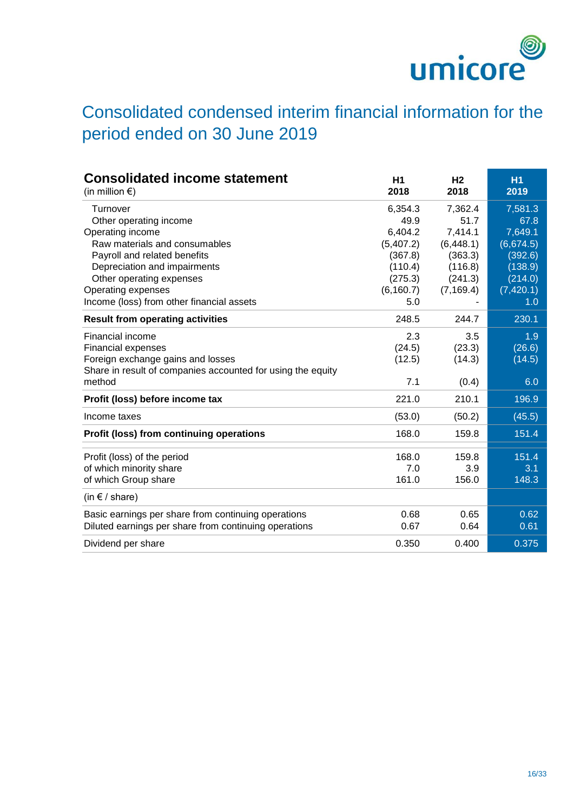

# Consolidated condensed interim financial information for the period ended on 30 June 2019

| <b>Consolidated income statement</b><br>(in million $\epsilon$ ) | H1<br>2018 | H <sub>2</sub><br>2018 | <b>H1</b><br>2019 |
|------------------------------------------------------------------|------------|------------------------|-------------------|
| Turnover                                                         | 6,354.3    | 7,362.4                | 7,581.3           |
| Other operating income                                           | 49.9       | 51.7                   | 67.8              |
| Operating income                                                 | 6,404.2    | 7,414.1                | 7,649.1           |
| Raw materials and consumables                                    | (5,407.2)  | (6, 448.1)             | (6,674.5)         |
| Payroll and related benefits                                     | (367.8)    | (363.3)                | (392.6)           |
| Depreciation and impairments                                     | (110.4)    | (116.8)                | (138.9)           |
| Other operating expenses                                         | (275.3)    | (241.3)                | (214.0)           |
| Operating expenses                                               | (6, 160.7) | (7, 169.4)             | (7,420.1)         |
| Income (loss) from other financial assets                        | 5.0        |                        | 1.0               |
| <b>Result from operating activities</b>                          | 248.5      | 244.7                  | 230.1             |
| Financial income                                                 | 2.3        | 3.5                    | 1.9               |
| Financial expenses                                               | (24.5)     | (23.3)                 | (26.6)            |
| Foreign exchange gains and losses                                | (12.5)     | (14.3)                 | (14.5)            |
| Share in result of companies accounted for using the equity      |            |                        |                   |
| method                                                           | 7.1        | (0.4)                  | 6.0               |
| Profit (loss) before income tax                                  | 221.0      | 210.1                  | 196.9             |
| Income taxes                                                     | (53.0)     | (50.2)                 | (45.5)            |
| Profit (loss) from continuing operations                         | 168.0      | 159.8                  | 151.4             |
|                                                                  |            |                        |                   |
| Profit (loss) of the period                                      | 168.0      | 159.8                  | 151.4             |
| of which minority share                                          | 7.0        | 3.9                    | 3.1               |
| of which Group share                                             | 161.0      | 156.0                  | 148.3             |
| (in $f$ / share)                                                 |            |                        |                   |
| Basic earnings per share from continuing operations              | 0.68       | 0.65                   | 0.62              |
| Diluted earnings per share from continuing operations            | 0.67       | 0.64                   | 0.61              |
| Dividend per share                                               | 0.350      | 0.400                  | 0.375             |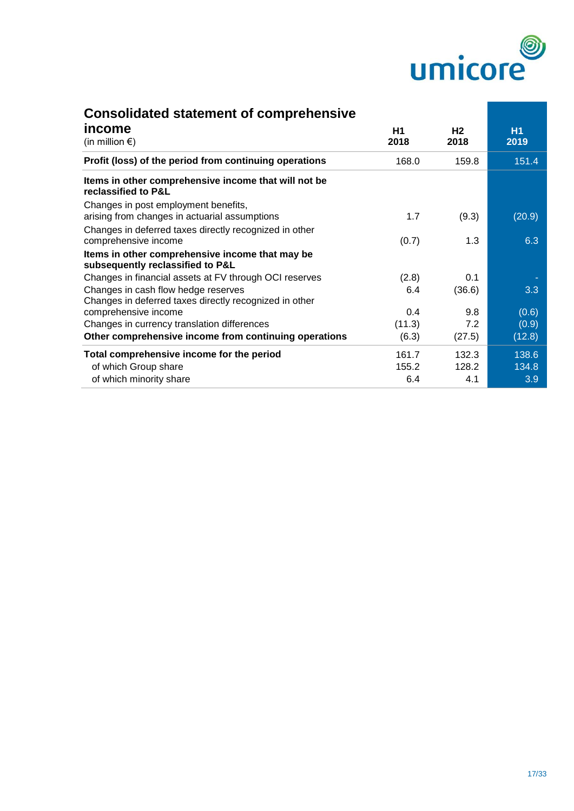

| <b>Consolidated statement of comprehensive</b>                                                |            |                        |                   |
|-----------------------------------------------------------------------------------------------|------------|------------------------|-------------------|
| income<br>(in million $\epsilon$ )                                                            | H1<br>2018 | H <sub>2</sub><br>2018 | <b>H1</b><br>2019 |
| Profit (loss) of the period from continuing operations                                        | 168.0      | 159.8                  | 151.4             |
| Items in other comprehensive income that will not be<br>reclassified to P&L                   |            |                        |                   |
| Changes in post employment benefits,<br>arising from changes in actuarial assumptions         | 1.7        | (9.3)                  | (20.9)            |
| Changes in deferred taxes directly recognized in other<br>comprehensive income                | (0.7)      | 1.3                    | 6.3               |
| Items in other comprehensive income that may be<br>subsequently reclassified to P&L           |            |                        |                   |
| Changes in financial assets at FV through OCI reserves                                        | (2.8)      | 0.1                    |                   |
| Changes in cash flow hedge reserves<br>Changes in deferred taxes directly recognized in other | 6.4        | (36.6)                 | 3.3               |
| comprehensive income                                                                          | 0.4        | 9.8                    | (0.6)             |
| Changes in currency translation differences                                                   | (11.3)     | 7.2                    | (0.9)             |
| Other comprehensive income from continuing operations                                         | (6.3)      | (27.5)                 | (12.8)            |
| Total comprehensive income for the period                                                     | 161.7      | 132.3                  | 138.6             |
| of which Group share                                                                          | 155.2      | 128.2                  | 134.8             |
| of which minority share                                                                       | 6.4        | 4.1                    | 3.9               |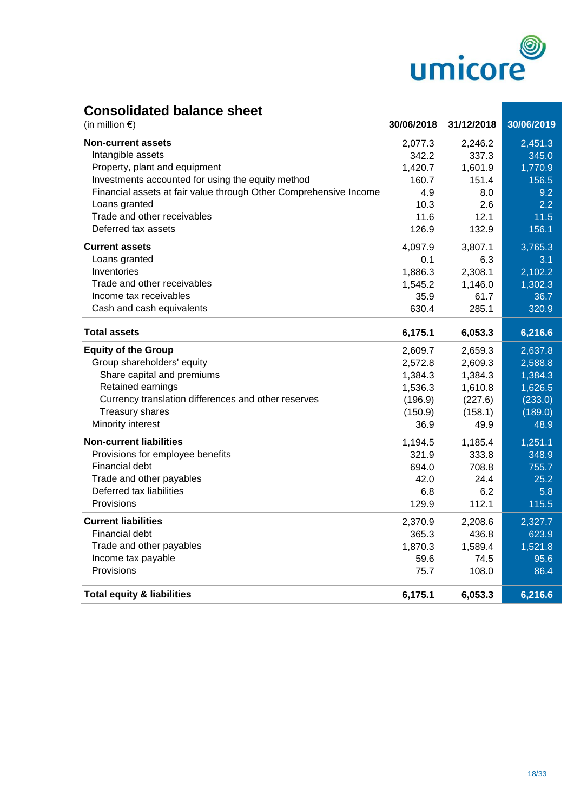

# **Consolidated balance sheet**

| (in million $\epsilon$ )                                          | 30/06/2018 | 31/12/2018 | 30/06/2019 |
|-------------------------------------------------------------------|------------|------------|------------|
| <b>Non-current assets</b>                                         | 2,077.3    | 2,246.2    | 2,451.3    |
| Intangible assets                                                 | 342.2      | 337.3      | 345.0      |
| Property, plant and equipment                                     | 1,420.7    | 1,601.9    | 1,770.9    |
| Investments accounted for using the equity method                 | 160.7      | 151.4      | 156.5      |
| Financial assets at fair value through Other Comprehensive Income | 4.9        | 8.0        | 9.2        |
| Loans granted                                                     | 10.3       | 2.6        | 2.2        |
| Trade and other receivables                                       | 11.6       | 12.1       | 11.5       |
| Deferred tax assets                                               | 126.9      | 132.9      | 156.1      |
| <b>Current assets</b>                                             | 4,097.9    | 3,807.1    | 3,765.3    |
| Loans granted                                                     | 0.1        | 6.3        | 3.1        |
| Inventories                                                       | 1,886.3    | 2,308.1    | 2,102.2    |
| Trade and other receivables                                       | 1,545.2    | 1,146.0    | 1,302.3    |
| Income tax receivables                                            | 35.9       | 61.7       | 36.7       |
| Cash and cash equivalents                                         | 630.4      | 285.1      | 320.9      |
| <b>Total assets</b>                                               | 6,175.1    | 6,053.3    | 6,216.6    |
| <b>Equity of the Group</b>                                        | 2,609.7    | 2,659.3    | 2,637.8    |
| Group shareholders' equity                                        | 2,572.8    | 2,609.3    | 2,588.8    |
| Share capital and premiums                                        | 1,384.3    | 1,384.3    | 1,384.3    |
| Retained earnings                                                 | 1,536.3    | 1,610.8    | 1,626.5    |
| Currency translation differences and other reserves               | (196.9)    | (227.6)    | (233.0)    |
| <b>Treasury shares</b>                                            | (150.9)    | (158.1)    | (189.0)    |
| Minority interest                                                 | 36.9       | 49.9       | 48.9       |
| <b>Non-current liabilities</b>                                    | 1,194.5    | 1,185.4    | 1,251.1    |
| Provisions for employee benefits                                  | 321.9      | 333.8      | 348.9      |
| Financial debt                                                    | 694.0      | 708.8      | 755.7      |
| Trade and other payables                                          | 42.0       | 24.4       | 25.2       |
| Deferred tax liabilities                                          | 6.8        | 6.2        | 5.8        |
| Provisions                                                        | 129.9      | 112.1      | 115.5      |
| <b>Current liabilities</b>                                        | 2,370.9    | 2,208.6    | 2,327.7    |
| Financial debt                                                    | 365.3      | 436.8      | 623.9      |
| Trade and other payables                                          | 1,870.3    | 1,589.4    | 1,521.8    |
| Income tax payable                                                | 59.6       | 74.5       | 95.6       |
| Provisions                                                        | 75.7       | 108.0      | 86.4       |
| <b>Total equity &amp; liabilities</b>                             | 6,175.1    | 6,053.3    | 6,216.6    |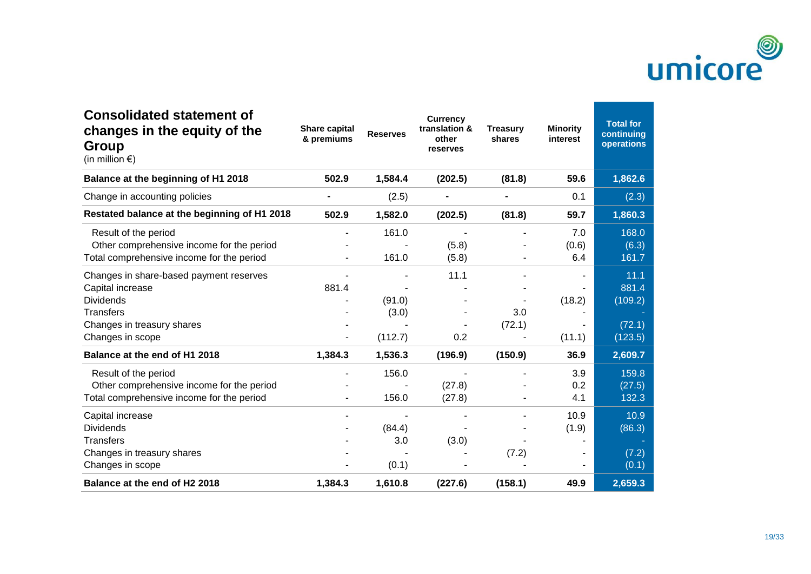

| <b>Consolidated statement of</b><br>changes in the equity of the<br>Group<br>(in million $\epsilon$ )                                                 | <b>Share capital</b><br>& premiums | <b>Reserves</b>            | <b>Currency</b><br>translation &<br>other<br>reserves | <b>Treasury</b><br>shares | <b>Minority</b><br>interest | <b>Total for</b><br>continuing<br>operations  |
|-------------------------------------------------------------------------------------------------------------------------------------------------------|------------------------------------|----------------------------|-------------------------------------------------------|---------------------------|-----------------------------|-----------------------------------------------|
| Balance at the beginning of H1 2018                                                                                                                   | 502.9                              | 1,584.4                    | (202.5)                                               | (81.8)                    | 59.6                        | 1,862.6                                       |
| Change in accounting policies                                                                                                                         |                                    | (2.5)                      |                                                       |                           | 0.1                         | (2.3)                                         |
| Restated balance at the beginning of H1 2018                                                                                                          | 502.9                              | 1,582.0                    | (202.5)                                               | (81.8)                    | 59.7                        | 1,860.3                                       |
| Result of the period<br>Other comprehensive income for the period<br>Total comprehensive income for the period                                        |                                    | 161.0<br>161.0             | (5.8)<br>(5.8)                                        |                           | 7.0<br>(0.6)<br>6.4         | 168.0<br>(6.3)<br>161.7                       |
| Changes in share-based payment reserves<br>Capital increase<br><b>Dividends</b><br><b>Transfers</b><br>Changes in treasury shares<br>Changes in scope | 881.4                              | (91.0)<br>(3.0)<br>(112.7) | 11.1<br>0.2                                           | 3.0<br>(72.1)             | (18.2)<br>(11.1)            | 11.1<br>881.4<br>(109.2)<br>(72.1)<br>(123.5) |
| Balance at the end of H1 2018                                                                                                                         | 1,384.3                            | 1,536.3                    | (196.9)                                               | (150.9)                   | 36.9                        | 2,609.7                                       |
| Result of the period<br>Other comprehensive income for the period<br>Total comprehensive income for the period                                        |                                    | 156.0<br>156.0             | (27.8)<br>(27.8)                                      |                           | 3.9<br>0.2<br>4.1           | 159.8<br>(27.5)<br>132.3                      |
| Capital increase<br><b>Dividends</b><br><b>Transfers</b><br>Changes in treasury shares<br>Changes in scope                                            |                                    | (84.4)<br>3.0<br>(0.1)     | (3.0)                                                 | (7.2)                     | 10.9<br>(1.9)               | 10.9<br>(86.3)<br>(7.2)<br>(0.1)              |
| Balance at the end of H2 2018                                                                                                                         | 1,384.3                            | 1,610.8                    | (227.6)                                               | (158.1)                   | 49.9                        | 2,659.3                                       |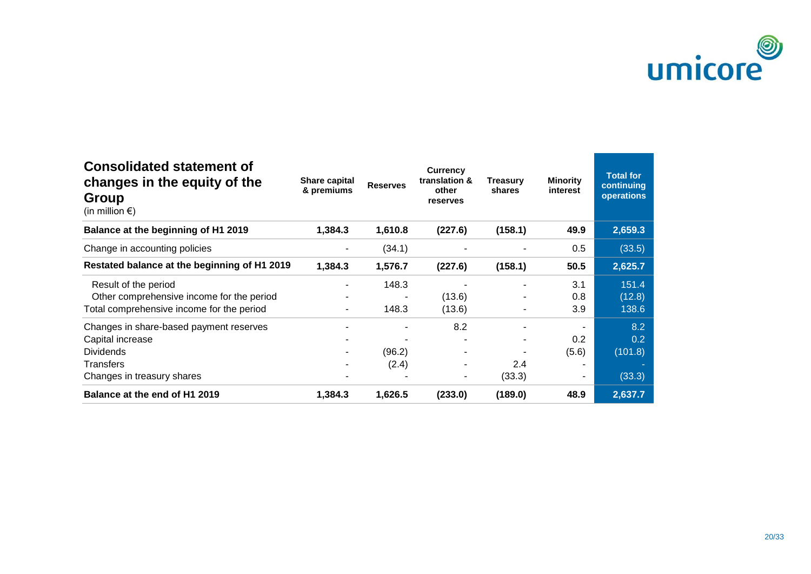

| <b>Consolidated statement of</b><br>changes in the equity of the<br><b>Group</b><br>(in million $\epsilon$ ) | <b>Share capital</b><br>& premiums | <b>Reserves</b> | <b>Currency</b><br>translation &<br>other<br>reserves | <b>Treasury</b><br>shares | <b>Minority</b><br>interest | <b>Total for</b><br>continuing<br>operations |
|--------------------------------------------------------------------------------------------------------------|------------------------------------|-----------------|-------------------------------------------------------|---------------------------|-----------------------------|----------------------------------------------|
| Balance at the beginning of H1 2019                                                                          | 1,384.3                            | 1,610.8         | (227.6)                                               | (158.1)                   | 49.9                        | 2,659.3                                      |
| Change in accounting policies                                                                                |                                    | (34.1)          |                                                       |                           | 0.5                         | (33.5)                                       |
| Restated balance at the beginning of H1 2019                                                                 | 1,384.3                            | 1,576.7         | (227.6)                                               | (158.1)                   | 50.5                        | 2,625.7                                      |
| Result of the period                                                                                         |                                    | 148.3           |                                                       |                           | 3.1                         | 151.4                                        |
| Other comprehensive income for the period                                                                    |                                    |                 | (13.6)                                                |                           | 0.8                         | (12.8)                                       |
| Total comprehensive income for the period                                                                    |                                    | 148.3           | (13.6)                                                |                           | 3.9                         | 138.6                                        |
| Changes in share-based payment reserves                                                                      |                                    |                 | 8.2                                                   |                           |                             | 8.2                                          |
| Capital increase                                                                                             |                                    |                 |                                                       |                           | 0.2                         | 0.2                                          |
| <b>Dividends</b>                                                                                             |                                    | (96.2)          |                                                       |                           | (5.6)                       | (101.8)                                      |
| <b>Transfers</b>                                                                                             |                                    | (2.4)           | ۰                                                     | 2.4                       |                             |                                              |
| Changes in treasury shares                                                                                   |                                    |                 | ۰.                                                    | (33.3)                    |                             | (33.3)                                       |
| Balance at the end of H1 2019                                                                                | 1,384.3                            | 1,626.5         | (233.0)                                               | (189.0)                   | 48.9                        | 2,637.7                                      |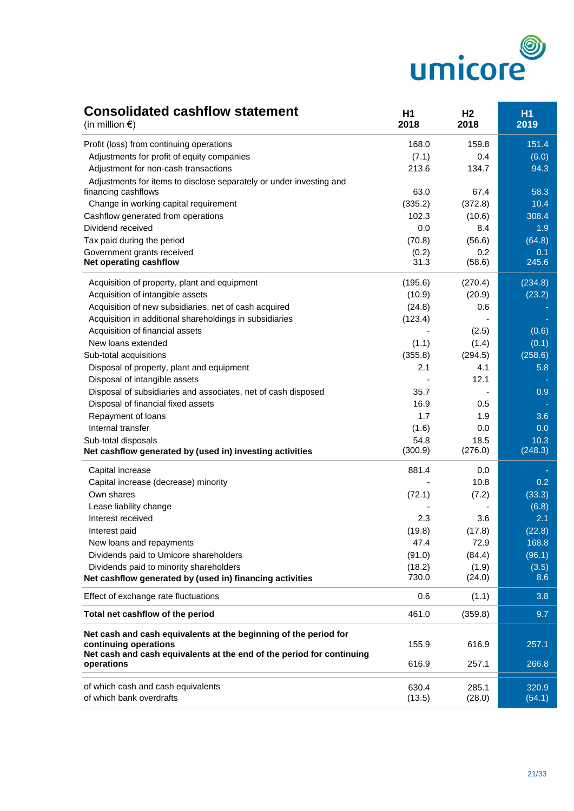

# **Consolidated cashflow statement H1 H1 H2 H1**

| (in million $\epsilon$ )                                                            | 2018            | 2018            | 2019             |
|-------------------------------------------------------------------------------------|-----------------|-----------------|------------------|
| Profit (loss) from continuing operations                                            | 168.0           | 159.8           | 151.4            |
| Adjustments for profit of equity companies                                          | (7.1)           | 0.4             | (6.0)            |
| Adjustment for non-cash transactions                                                | 213.6           | 134.7           | 94.3             |
| Adjustments for items to disclose separately or under investing and                 |                 |                 |                  |
| financing cashflows                                                                 | 63.0            | 67.4            | 58.3             |
| Change in working capital requirement                                               | (335.2)         | (372.8)         | 10.4             |
| Cashflow generated from operations                                                  | 102.3           | (10.6)          | 308.4            |
| Dividend received                                                                   | 0.0             | 8.4             | 1.9              |
| Tax paid during the period                                                          | (70.8)          | (56.6)          | (64.8)           |
| Government grants received                                                          | (0.2)           | 0.2             | 0.1              |
| Net operating cashflow                                                              | 31.3            | (58.6)          | 245.6            |
| Acquisition of property, plant and equipment                                        | (195.6)         | (270.4)         | (234.8)          |
| Acquisition of intangible assets                                                    | (10.9)          | (20.9)          | (23.2)           |
| Acquisition of new subsidiaries, net of cash acquired                               | (24.8)          | 0.6             |                  |
| Acquisition in additional shareholdings in subsidiaries                             | (123.4)         |                 |                  |
| Acquisition of financial assets                                                     |                 | (2.5)           | (0.6)            |
| New loans extended                                                                  | (1.1)           | (1.4)           | (0.1)            |
| Sub-total acquisitions                                                              | (355.8)         | (294.5)         | (258.6)          |
| Disposal of property, plant and equipment                                           | 2.1             | 4.1             | 5.8              |
| Disposal of intangible assets                                                       |                 | 12.1            |                  |
| Disposal of subsidiaries and associates, net of cash disposed                       | 35.7            |                 | 0.9              |
| Disposal of financial fixed assets                                                  | 16.9            | 0.5             |                  |
| Repayment of loans                                                                  | 1.7             | 1.9             | 3.6              |
| Internal transfer                                                                   | (1.6)           | 0.0             | 0.0              |
| Sub-total disposals                                                                 | 54.8            | 18.5            | 10.3             |
| Net cashflow generated by (used in) investing activities                            | (300.9)         | (276.0)         | (248.3)          |
| Capital increase                                                                    | 881.4           | 0.0             |                  |
| Capital increase (decrease) minority                                                |                 | 10.8            | 0.2              |
| Own shares                                                                          | (72.1)          | (7.2)           | (33.3)           |
| Lease liability change                                                              |                 |                 | (6.8)            |
| Interest received                                                                   | 2.3             | 3.6             | 2.1              |
| Interest paid                                                                       | (19.8)          | (17.8)          | (22.8)           |
| New loans and repayments                                                            | 47.4            | 72.9            | 168.8            |
| Dividends paid to Umicore shareholders                                              | (91.0)          | (84.4)          | (96.1)           |
| Dividends paid to minority shareholders                                             | (18.2)          | (1.9)           | (3.5)            |
| Net cashflow generated by (used in) financing activities                            | 730.0           | (24.0)          | 8.6              |
| Effect of exchange rate fluctuations                                                | 0.6             | (1.1)           | 3.8 <sub>1</sub> |
| Total net cashflow of the period                                                    | 461.0           | (359.8)         | 9.7              |
| Net cash and cash equivalents at the beginning of the period for                    |                 |                 |                  |
| continuing operations                                                               | 155.9           | 616.9           | 257.1            |
| Net cash and cash equivalents at the end of the period for continuing<br>operations | 616.9           | 257.1           | 266.8            |
|                                                                                     |                 |                 |                  |
| of which cash and cash equivalents<br>of which bank overdrafts                      | 630.4<br>(13.5) | 285.1<br>(28.0) | 320.9<br>(54.1)  |
|                                                                                     |                 |                 |                  |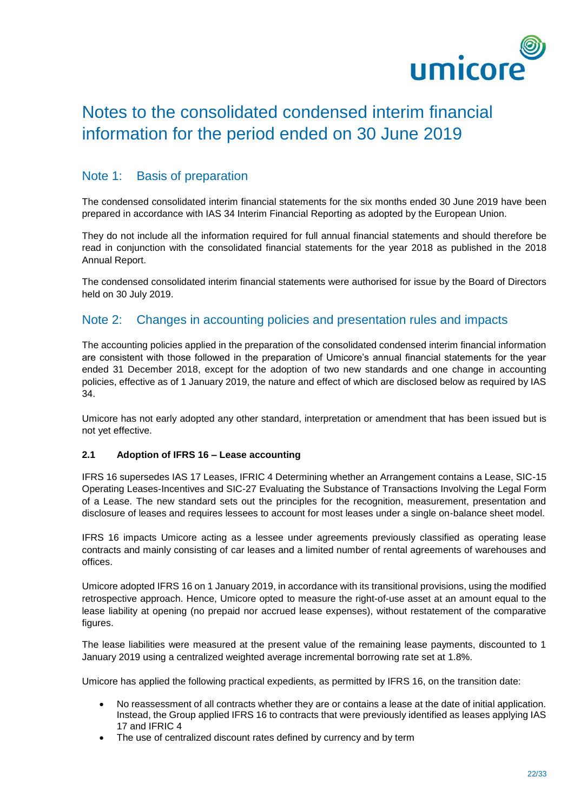

# Notes to the consolidated condensed interim financial information for the period ended on 30 June 2019

# Note 1: Basis of preparation

The condensed consolidated interim financial statements for the six months ended 30 June 2019 have been prepared in accordance with IAS 34 Interim Financial Reporting as adopted by the European Union.

They do not include all the information required for full annual financial statements and should therefore be read in conjunction with the consolidated financial statements for the year 2018 as published in the 2018 Annual Report.

The condensed consolidated interim financial statements were authorised for issue by the Board of Directors held on 30 July 2019.

### Note 2: Changes in accounting policies and presentation rules and impacts

The accounting policies applied in the preparation of the consolidated condensed interim financial information are consistent with those followed in the preparation of Umicore's annual financial statements for the year ended 31 December 2018, except for the adoption of two new standards and one change in accounting policies, effective as of 1 January 2019, the nature and effect of which are disclosed below as required by IAS 34.

Umicore has not early adopted any other standard, interpretation or amendment that has been issued but is not yet effective.

#### **2.1 Adoption of IFRS 16 – Lease accounting**

IFRS 16 supersedes IAS 17 Leases, IFRIC 4 Determining whether an Arrangement contains a Lease, SIC-15 Operating Leases-Incentives and SIC-27 Evaluating the Substance of Transactions Involving the Legal Form of a Lease. The new standard sets out the principles for the recognition, measurement, presentation and disclosure of leases and requires lessees to account for most leases under a single on-balance sheet model.

IFRS 16 impacts Umicore acting as a lessee under agreements previously classified as operating lease contracts and mainly consisting of car leases and a limited number of rental agreements of warehouses and offices.

Umicore adopted IFRS 16 on 1 January 2019, in accordance with its transitional provisions, using the modified retrospective approach. Hence, Umicore opted to measure the right-of-use asset at an amount equal to the lease liability at opening (no prepaid nor accrued lease expenses), without restatement of the comparative figures.

The lease liabilities were measured at the present value of the remaining lease payments, discounted to 1 January 2019 using a centralized weighted average incremental borrowing rate set at 1.8%.

Umicore has applied the following practical expedients, as permitted by IFRS 16, on the transition date:

- No reassessment of all contracts whether they are or contains a lease at the date of initial application. Instead, the Group applied IFRS 16 to contracts that were previously identified as leases applying IAS 17 and IFRIC 4
- The use of centralized discount rates defined by currency and by term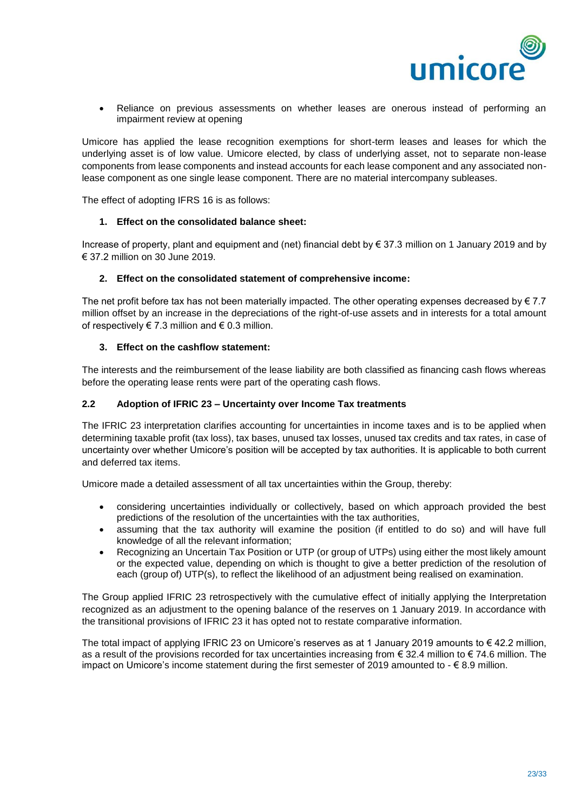

• Reliance on previous assessments on whether leases are onerous instead of performing an impairment review at opening

Umicore has applied the lease recognition exemptions for short-term leases and leases for which the underlying asset is of low value. Umicore elected, by class of underlying asset, not to separate non-lease components from lease components and instead accounts for each lease component and any associated nonlease component as one single lease component. There are no material intercompany subleases.

The effect of adopting IFRS 16 is as follows:

#### **1. Effect on the consolidated balance sheet:**

Increase of property, plant and equipment and (net) financial debt by € 37.3 million on 1 January 2019 and by € 37.2 million on 30 June 2019.

#### **2. Effect on the consolidated statement of comprehensive income:**

The net profit before tax has not been materially impacted. The other operating expenses decreased by  $\epsilon$  7.7 million offset by an increase in the depreciations of the right-of-use assets and in interests for a total amount of respectively  $\in 7.3$  million and  $\in 0.3$  million.

#### **3. Effect on the cashflow statement:**

The interests and the reimbursement of the lease liability are both classified as financing cash flows whereas before the operating lease rents were part of the operating cash flows.

#### **2.2 Adoption of IFRIC 23 – Uncertainty over Income Tax treatments**

The IFRIC 23 interpretation clarifies accounting for uncertainties in income taxes and is to be applied when determining taxable profit (tax loss), tax bases, unused tax losses, unused tax credits and tax rates, in case of uncertainty over whether Umicore's position will be accepted by tax authorities. It is applicable to both current and deferred tax items.

Umicore made a detailed assessment of all tax uncertainties within the Group, thereby:

- considering uncertainties individually or collectively, based on which approach provided the best predictions of the resolution of the uncertainties with the tax authorities,
- assuming that the tax authority will examine the position (if entitled to do so) and will have full knowledge of all the relevant information;
- Recognizing an Uncertain Tax Position or UTP (or group of UTPs) using either the most likely amount or the expected value, depending on which is thought to give a better prediction of the resolution of each (group of) UTP(s), to reflect the likelihood of an adjustment being realised on examination.

The Group applied IFRIC 23 retrospectively with the cumulative effect of initially applying the Interpretation recognized as an adjustment to the opening balance of the reserves on 1 January 2019. In accordance with the transitional provisions of IFRIC 23 it has opted not to restate comparative information.

The total impact of applying IFRIC 23 on Umicore's reserves as at 1 January 2019 amounts to € 42.2 million, as a result of the provisions recorded for tax uncertainties increasing from  $\epsilon$  32.4 million to  $\epsilon$  74.6 million. The impact on Umicore's income statement during the first semester of 2019 amounted to  $- \epsilon$  8.9 million.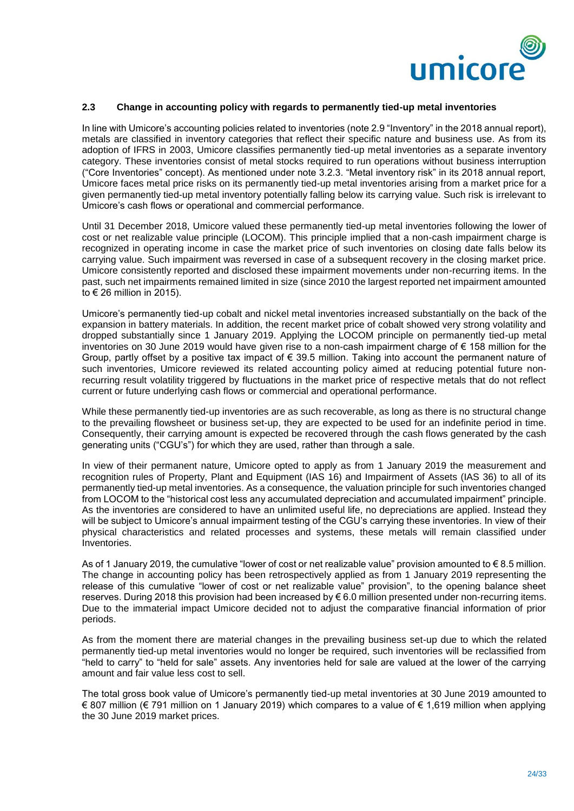

#### **2.3 Change in accounting policy with regards to permanently tied-up metal inventories**

In line with Umicore's accounting policies related to inventories (note 2.9 "Inventory" in the 2018 annual report), metals are classified in inventory categories that reflect their specific nature and business use. As from its adoption of IFRS in 2003, Umicore classifies permanently tied-up metal inventories as a separate inventory category. These inventories consist of metal stocks required to run operations without business interruption ("Core Inventories" concept). As mentioned under note 3.2.3. "Metal inventory risk" in its 2018 annual report, Umicore faces metal price risks on its permanently tied-up metal inventories arising from a market price for a given permanently tied-up metal inventory potentially falling below its carrying value. Such risk is irrelevant to Umicore's cash flows or operational and commercial performance.

Until 31 December 2018, Umicore valued these permanently tied-up metal inventories following the lower of cost or net realizable value principle (LOCOM). This principle implied that a non-cash impairment charge is recognized in operating income in case the market price of such inventories on closing date falls below its carrying value. Such impairment was reversed in case of a subsequent recovery in the closing market price. Umicore consistently reported and disclosed these impairment movements under non-recurring items. In the past, such net impairments remained limited in size (since 2010 the largest reported net impairment amounted to  $\in$  26 million in 2015).

Umicore's permanently tied-up cobalt and nickel metal inventories increased substantially on the back of the expansion in battery materials. In addition, the recent market price of cobalt showed very strong volatility and dropped substantially since 1 January 2019. Applying the LOCOM principle on permanently tied-up metal inventories on 30 June 2019 would have given rise to a non-cash impairment charge of € 158 million for the Group, partly offset by a positive tax impact of  $\epsilon$  39.5 million. Taking into account the permanent nature of such inventories, Umicore reviewed its related accounting policy aimed at reducing potential future nonrecurring result volatility triggered by fluctuations in the market price of respective metals that do not reflect current or future underlying cash flows or commercial and operational performance.

While these permanently tied-up inventories are as such recoverable, as long as there is no structural change to the prevailing flowsheet or business set-up, they are expected to be used for an indefinite period in time. Consequently, their carrying amount is expected be recovered through the cash flows generated by the cash generating units ("CGU's") for which they are used, rather than through a sale.

In view of their permanent nature, Umicore opted to apply as from 1 January 2019 the measurement and recognition rules of Property, Plant and Equipment (IAS 16) and Impairment of Assets (IAS 36) to all of its permanently tied-up metal inventories. As a consequence, the valuation principle for such inventories changed from LOCOM to the "historical cost less any accumulated depreciation and accumulated impairment" principle. As the inventories are considered to have an unlimited useful life, no depreciations are applied. Instead they will be subject to Umicore's annual impairment testing of the CGU's carrying these inventories. In view of their physical characteristics and related processes and systems, these metals will remain classified under Inventories.

As of 1 January 2019, the cumulative "lower of cost or net realizable value" provision amounted to € 8.5 million. The change in accounting policy has been retrospectively applied as from 1 January 2019 representing the release of this cumulative "lower of cost or net realizable value" provision", to the opening balance sheet reserves. During 2018 this provision had been increased by € 6.0 million presented under non-recurring items. Due to the immaterial impact Umicore decided not to adjust the comparative financial information of prior periods.

As from the moment there are material changes in the prevailing business set-up due to which the related permanently tied-up metal inventories would no longer be required, such inventories will be reclassified from "held to carry" to "held for sale" assets. Any inventories held for sale are valued at the lower of the carrying amount and fair value less cost to sell.

The total gross book value of Umicore's permanently tied-up metal inventories at 30 June 2019 amounted to € 807 million (€ 791 million on 1 January 2019) which compares to a value of € 1,619 million when applying the 30 June 2019 market prices.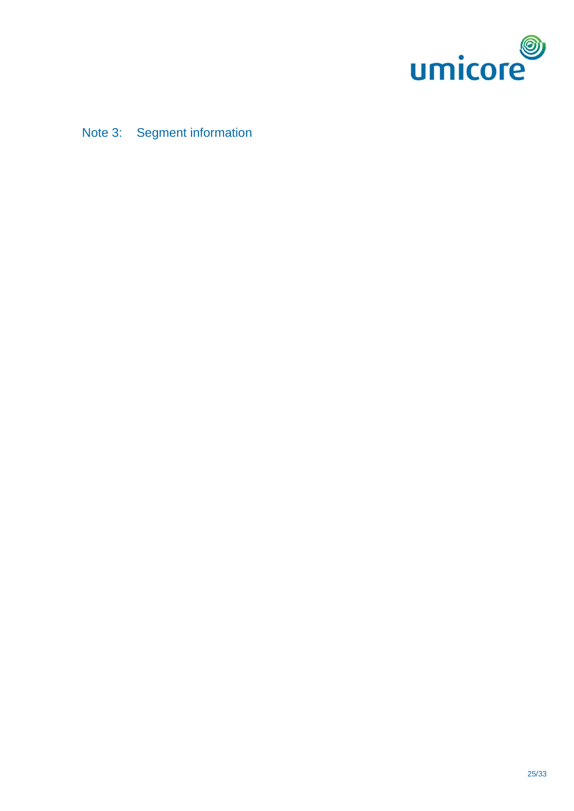

Note 3: Segment information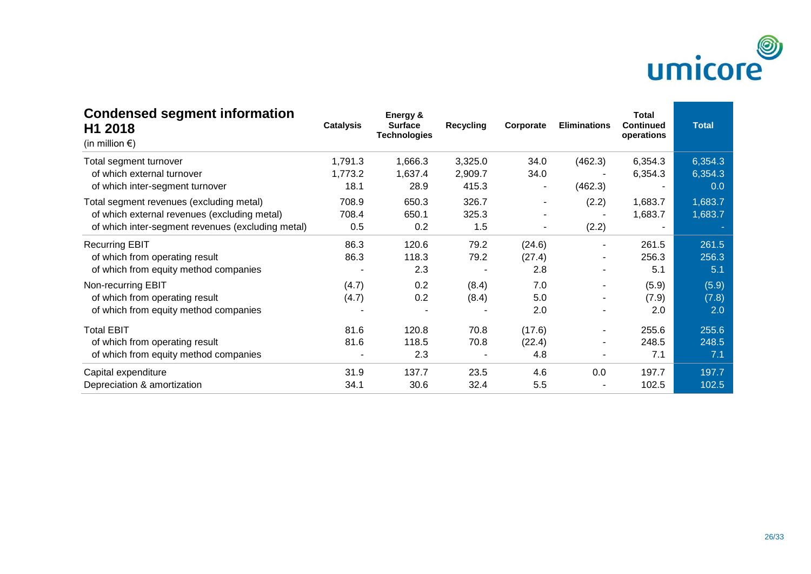

| <b>Condensed segment information</b><br>H1 2018<br>(in million $\epsilon$ ) | <b>Catalysis</b> | Energy &<br><b>Surface</b><br><b>Technologies</b> | <b>Recycling</b> | Corporate | <b>Eliminations</b> | <b>Total</b><br><b>Continued</b><br>operations | <b>Total</b> |
|-----------------------------------------------------------------------------|------------------|---------------------------------------------------|------------------|-----------|---------------------|------------------------------------------------|--------------|
| Total segment turnover                                                      | 1,791.3          | 1,666.3                                           | 3,325.0          | 34.0      | (462.3)             | 6,354.3                                        | 6,354.3      |
| of which external turnover                                                  | 1,773.2          | 1,637.4                                           | 2,909.7          | 34.0      |                     | 6,354.3                                        | 6,354.3      |
| of which inter-segment turnover                                             | 18.1             | 28.9                                              | 415.3            |           | (462.3)             |                                                | 0.0          |
| Total segment revenues (excluding metal)                                    | 708.9            | 650.3                                             | 326.7            | ۰         | (2.2)               | 1,683.7                                        | 1,683.7      |
| of which external revenues (excluding metal)                                | 708.4            | 650.1                                             | 325.3            |           |                     | 1,683.7                                        | 1,683.7      |
| of which inter-segment revenues (excluding metal)                           | 0.5              | 0.2                                               | 1.5              |           | (2.2)               |                                                |              |
| <b>Recurring EBIT</b>                                                       | 86.3             | 120.6                                             | 79.2             | (24.6)    |                     | 261.5                                          | 261.5        |
| of which from operating result                                              | 86.3             | 118.3                                             | 79.2             | (27.4)    | ٠                   | 256.3                                          | 256.3        |
| of which from equity method companies                                       |                  | 2.3                                               |                  | 2.8       |                     | 5.1                                            | 5.1          |
| Non-recurring EBIT                                                          | (4.7)            | 0.2                                               | (8.4)            | 7.0       |                     | (5.9)                                          | (5.9)        |
| of which from operating result                                              | (4.7)            | 0.2                                               | (8.4)            | 5.0       |                     | (7.9)                                          | (7.8)        |
| of which from equity method companies                                       |                  |                                                   |                  | 2.0       |                     | 2.0                                            | 2.0          |
| <b>Total EBIT</b>                                                           | 81.6             | 120.8                                             | 70.8             | (17.6)    |                     | 255.6                                          | 255.6        |
| of which from operating result                                              | 81.6             | 118.5                                             | 70.8             | (22.4)    | ۰                   | 248.5                                          | 248.5        |
| of which from equity method companies                                       |                  | 2.3                                               |                  | 4.8       | ٠                   | 7.1                                            | 7.1          |
| Capital expenditure                                                         | 31.9             | 137.7                                             | 23.5             | 4.6       | 0.0                 | 197.7                                          | 197.7        |
| Depreciation & amortization                                                 | 34.1             | 30.6                                              | 32.4             | 5.5       |                     | 102.5                                          | 102.5        |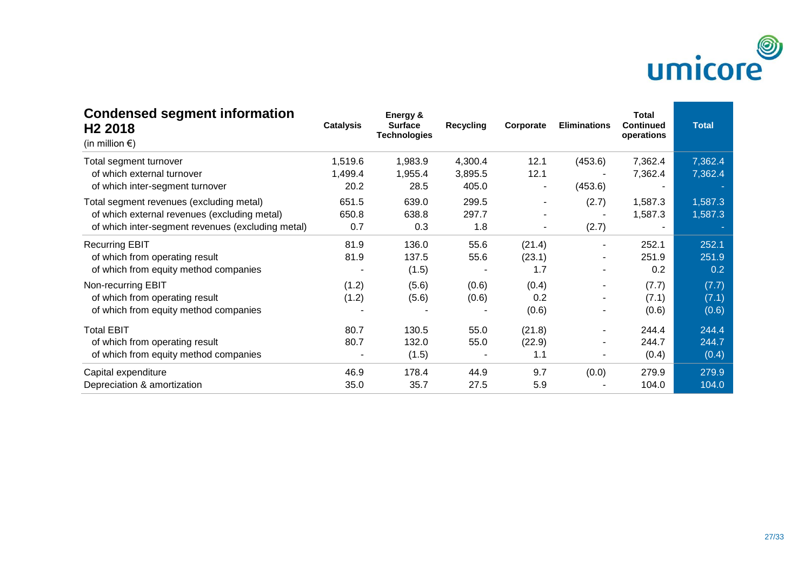

| <b>Condensed segment information</b><br>H <sub>2</sub> 2018<br>(in million $\epsilon$ ) | <b>Catalysis</b> | Energy &<br><b>Surface</b><br><b>Technologies</b> | <b>Recycling</b> | Corporate | <b>Eliminations</b>      | <b>Total</b><br><b>Continued</b><br>operations | <b>Total</b> |
|-----------------------------------------------------------------------------------------|------------------|---------------------------------------------------|------------------|-----------|--------------------------|------------------------------------------------|--------------|
| Total segment turnover                                                                  | 1,519.6          | 1,983.9                                           | 4,300.4          | 12.1      | (453.6)                  | 7,362.4                                        | 7,362.4      |
| of which external turnover                                                              | 1,499.4          | 1,955.4                                           | 3,895.5          | 12.1      |                          | 7,362.4                                        | 7,362.4      |
| of which inter-segment turnover                                                         | 20.2             | 28.5                                              | 405.0            |           | (453.6)                  |                                                |              |
| Total segment revenues (excluding metal)                                                | 651.5            | 639.0                                             | 299.5            |           | (2.7)                    | 1,587.3                                        | 1,587.3      |
| of which external revenues (excluding metal)                                            | 650.8            | 638.8                                             | 297.7            |           |                          | 1,587.3                                        | 1,587.3      |
| of which inter-segment revenues (excluding metal)                                       | 0.7              | 0.3                                               | 1.8              | ۰         | (2.7)                    |                                                |              |
| <b>Recurring EBIT</b>                                                                   | 81.9             | 136.0                                             | 55.6             | (21.4)    |                          | 252.1                                          | 252.1        |
| of which from operating result                                                          | 81.9             | 137.5                                             | 55.6             | (23.1)    | ٠                        | 251.9                                          | 251.9        |
| of which from equity method companies                                                   |                  | (1.5)                                             |                  | 1.7       |                          | 0.2                                            | 0.2          |
| Non-recurring EBIT                                                                      | (1.2)            | (5.6)                                             | (0.6)            | (0.4)     |                          | (7.7)                                          | (7.7)        |
| of which from operating result                                                          | (1.2)            | (5.6)                                             | (0.6)            | 0.2       |                          | (7.1)                                          | (7.1)        |
| of which from equity method companies                                                   |                  |                                                   |                  | (0.6)     |                          | (0.6)                                          | (0.6)        |
| <b>Total EBIT</b>                                                                       | 80.7             | 130.5                                             | 55.0             | (21.8)    |                          | 244.4                                          | 244.4        |
| of which from operating result                                                          | 80.7             | 132.0                                             | 55.0             | (22.9)    | ٠                        | 244.7                                          | 244.7        |
| of which from equity method companies                                                   |                  | (1.5)                                             |                  | 1.1       | $\overline{\phantom{a}}$ | (0.4)                                          | (0.4)        |
| Capital expenditure                                                                     | 46.9             | 178.4                                             | 44.9             | 9.7       | (0.0)                    | 279.9                                          | 279.9        |
| Depreciation & amortization                                                             | 35.0             | 35.7                                              | 27.5             | 5.9       |                          | 104.0                                          | 104.0        |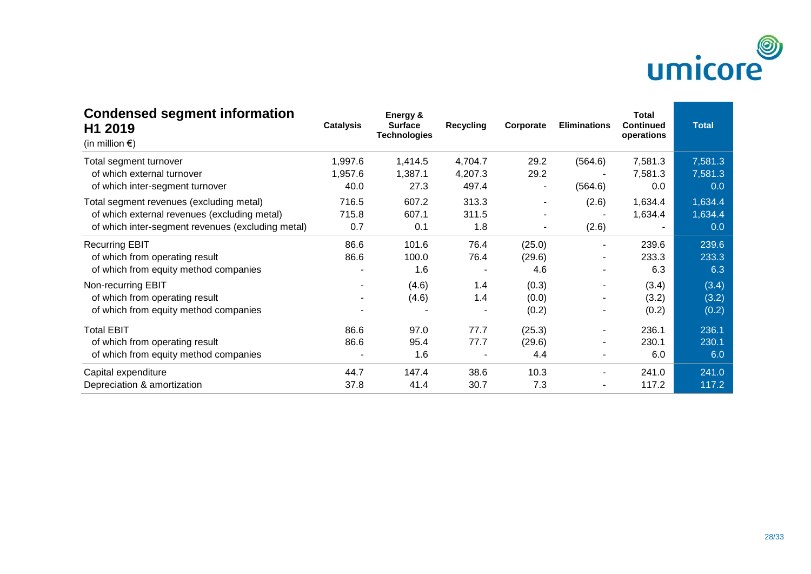

| <b>Condensed segment information</b><br>H1 2019<br>(in million $\epsilon$ ) | <b>Catalysis</b>         | Energy &<br><b>Surface</b><br><b>Technologies</b> | <b>Recycling</b> | Corporate | <b>Eliminations</b> | <b>Total</b><br><b>Continued</b><br>operations | <b>Total</b> |
|-----------------------------------------------------------------------------|--------------------------|---------------------------------------------------|------------------|-----------|---------------------|------------------------------------------------|--------------|
| Total segment turnover                                                      | 1,997.6                  | 1,414.5                                           | 4,704.7          | 29.2      | (564.6)             | 7,581.3                                        | 7,581.3      |
| of which external turnover                                                  | 1,957.6                  | 1,387.1                                           | 4,207.3          | 29.2      |                     | 7,581.3                                        | 7,581.3      |
| of which inter-segment turnover                                             | 40.0                     | 27.3                                              | 497.4            |           | (564.6)             | 0.0                                            | 0.0          |
| Total segment revenues (excluding metal)                                    | 716.5                    | 607.2                                             | 313.3            | ۰         | (2.6)               | 1,634.4                                        | 1,634.4      |
| of which external revenues (excluding metal)                                | 715.8                    | 607.1                                             | 311.5            |           |                     | 1,634.4                                        | 1,634.4      |
| of which inter-segment revenues (excluding metal)                           | 0.7                      | 0.1                                               | 1.8              |           | (2.6)               |                                                | 0.0          |
| <b>Recurring EBIT</b>                                                       | 86.6                     | 101.6                                             | 76.4             | (25.0)    |                     | 239.6                                          | 239.6        |
| of which from operating result                                              | 86.6                     | 100.0                                             | 76.4             | (29.6)    | ٠                   | 233.3                                          | 233.3        |
| of which from equity method companies                                       | ۰                        | 1.6                                               |                  | 4.6       |                     | 6.3                                            | 6.3          |
| Non-recurring EBIT                                                          | $\overline{\phantom{a}}$ | (4.6)                                             | 1.4              | (0.3)     |                     | (3.4)                                          | (3.4)        |
| of which from operating result                                              |                          | (4.6)                                             | 1.4              | (0.0)     |                     | (3.2)                                          | (3.2)        |
| of which from equity method companies                                       |                          |                                                   |                  | (0.2)     |                     | (0.2)                                          | (0.2)        |
| <b>Total EBIT</b>                                                           | 86.6                     | 97.0                                              | 77.7             | (25.3)    |                     | 236.1                                          | 236.1        |
| of which from operating result                                              | 86.6                     | 95.4                                              | 77.7             | (29.6)    | ۰                   | 230.1                                          | 230.1        |
| of which from equity method companies                                       |                          | 1.6                                               |                  | 4.4       | ۰                   | 6.0                                            | 6.0          |
| Capital expenditure                                                         | 44.7                     | 147.4                                             | 38.6             | 10.3      | ۰                   | 241.0                                          | 241.0        |
| Depreciation & amortization                                                 | 37.8                     | 41.4                                              | 30.7             | 7.3       |                     | 117.2                                          | 117.2        |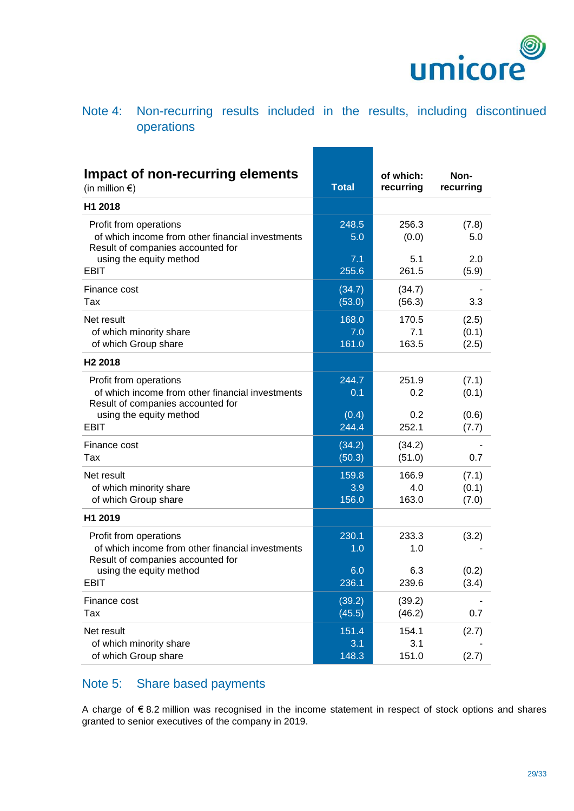

# Note 4: Non-recurring results included in the results, including discontinued operations

| Impact of non-recurring elements<br>(in million $\epsilon$ )                                                                               | <b>Total</b>          | of which:<br>recurring | Non-<br>recurring       |
|--------------------------------------------------------------------------------------------------------------------------------------------|-----------------------|------------------------|-------------------------|
| H1 2018                                                                                                                                    |                       |                        |                         |
| Profit from operations<br>of which income from other financial investments<br>Result of companies accounted for<br>using the equity method | 248.5<br>5.0<br>7.1   | 256.3<br>(0.0)<br>5.1  | (7.8)<br>5.0<br>2.0     |
| <b>EBIT</b>                                                                                                                                | 255.6                 | 261.5                  | (5.9)                   |
| Finance cost<br>Tax                                                                                                                        | (34.7)<br>(53.0)      | (34.7)<br>(56.3)       | 3.3                     |
| Net result<br>of which minority share<br>of which Group share                                                                              | 168.0<br>7.0<br>161.0 | 170.5<br>7.1<br>163.5  | (2.5)<br>(0.1)<br>(2.5) |
| H <sub>2</sub> 2018                                                                                                                        |                       |                        |                         |
| Profit from operations<br>of which income from other financial investments<br>Result of companies accounted for                            | 244.7<br>0.1          | 251.9<br>0.2           | (7.1)<br>(0.1)          |
| using the equity method<br><b>EBIT</b>                                                                                                     | (0.4)<br>244.4        | 0.2<br>252.1           | (0.6)<br>(7.7)          |
| Finance cost<br>Tax                                                                                                                        | (34.2)<br>(50.3)      | (34.2)<br>(51.0)       | 0.7                     |
| Net result<br>of which minority share<br>of which Group share                                                                              | 159.8<br>3.9<br>156.0 | 166.9<br>4.0<br>163.0  | (7.1)<br>(0.1)<br>(7.0) |
| H1 2019                                                                                                                                    |                       |                        |                         |
| Profit from operations<br>of which income from other financial investments<br>Result of companies accounted for                            | 230.1<br>1.0          | 233.3<br>1.0           | (3.2)                   |
| using the equity method<br>EBIT                                                                                                            | 6.0<br>236.1          | 6.3<br>239.6           | (0.2)<br>(3.4)          |
| Finance cost<br>Tax                                                                                                                        | (39.2)<br>(45.5)      | (39.2)<br>(46.2)       | 0.7                     |
| Net result<br>of which minority share<br>of which Group share                                                                              | 151.4<br>3.1<br>148.3 | 154.1<br>3.1<br>151.0  | (2.7)<br>(2.7)          |
|                                                                                                                                            |                       |                        |                         |

# Note 5: Share based payments

A charge of € 8.2 million was recognised in the income statement in respect of stock options and shares granted to senior executives of the company in 2019.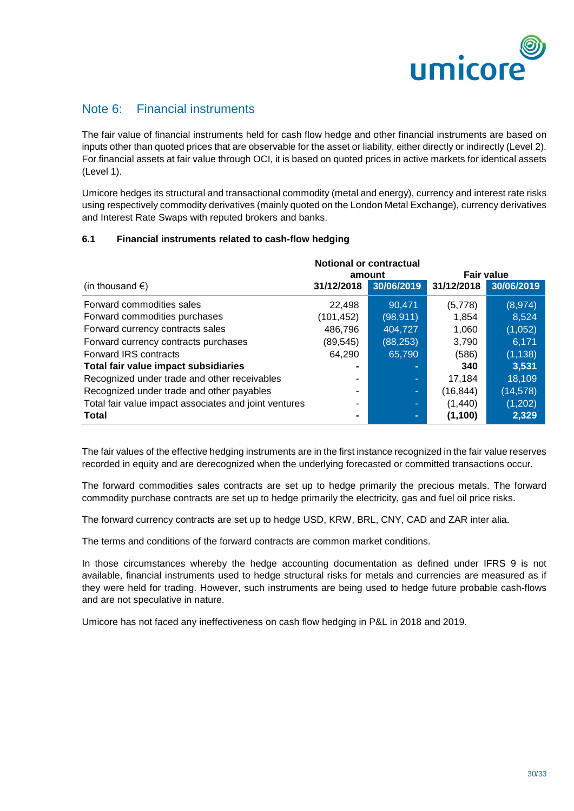

# Note 6: Financial instruments

The fair value of financial instruments held for cash flow hedge and other financial instruments are based on inputs other than quoted prices that are observable for the asset or liability, either directly or indirectly (Level 2). For financial assets at fair value through OCI, it is based on quoted prices in active markets for identical assets (Level 1).

Umicore hedges its structural and transactional commodity (metal and energy), currency and interest rate risks using respectively commodity derivatives (mainly quoted on the London Metal Exchange), currency derivatives and Interest Rate Swaps with reputed brokers and banks.

### **6.1 Financial instruments related to cash-flow hedging**

|                                                       | <b>Notional or contractual</b> |            |            |            |
|-------------------------------------------------------|--------------------------------|------------|------------|------------|
|                                                       | <b>Fair value</b><br>amount    |            |            |            |
| (in thousand $\epsilon$ )                             | 31/12/2018                     | 30/06/2019 | 31/12/2018 | 30/06/2019 |
| Forward commodities sales                             | 22,498                         | 90.471     | (5,778)    | (8, 974)   |
| Forward commodities purchases                         | (101, 452)                     | (98, 911)  | 1,854      | 8,524      |
| Forward currency contracts sales                      | 486,796                        | 404,727    | 1,060      | (1,052)    |
| Forward currency contracts purchases                  | (89, 545)                      | (88, 253)  | 3,790      | 6,171      |
| Forward IRS contracts                                 | 64,290                         | 65,790     | (586)      | (1, 138)   |
| Total fair value impact subsidiaries                  | $\blacksquare$                 |            | 340        | 3,531      |
| Recognized under trade and other receivables          | ۰                              |            | 17,184     | 18,109     |
| Recognized under trade and other payables             |                                | ٠          | (16,844)   | (14, 578)  |
| Total fair value impact associates and joint ventures | ۰                              | -          | (1,440)    | (1,202)    |
| Total                                                 | $\blacksquare$                 |            | (1,100)    | 2,329      |

The fair values of the effective hedging instruments are in the first instance recognized in the fair value reserves recorded in equity and are derecognized when the underlying forecasted or committed transactions occur.

The forward commodities sales contracts are set up to hedge primarily the precious metals. The forward commodity purchase contracts are set up to hedge primarily the electricity, gas and fuel oil price risks.

The forward currency contracts are set up to hedge USD, KRW, BRL, CNY, CAD and ZAR inter alia.

The terms and conditions of the forward contracts are common market conditions.

In those circumstances whereby the hedge accounting documentation as defined under IFRS 9 is not available, financial instruments used to hedge structural risks for metals and currencies are measured as if they were held for trading. However, such instruments are being used to hedge future probable cash-flows and are not speculative in nature.

Umicore has not faced any ineffectiveness on cash flow hedging in P&L in 2018 and 2019.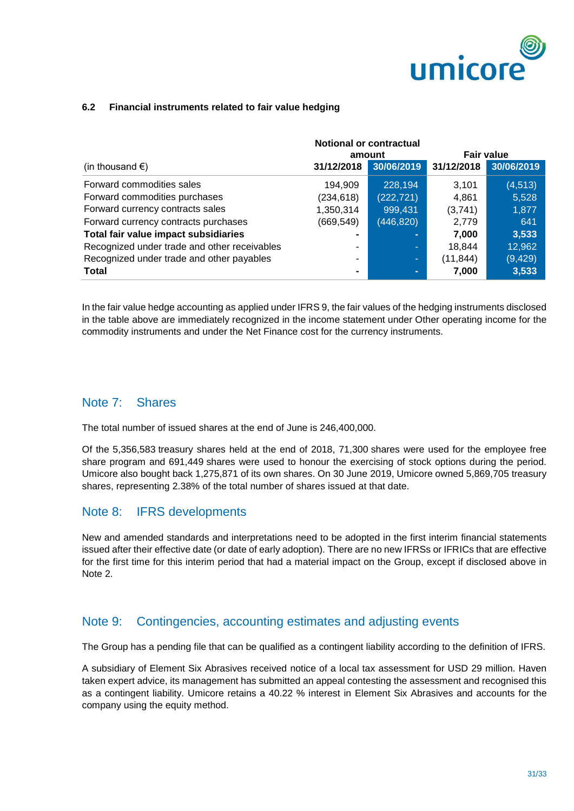

### **6.2 Financial instruments related to fair value hedging**

|                                              | <b>Notional or contractual</b> |                |            |                   |  |
|----------------------------------------------|--------------------------------|----------------|------------|-------------------|--|
|                                              |                                | amount         |            | <b>Fair value</b> |  |
| (in thousand $\epsilon$ )                    | 31/12/2018                     | 30/06/2019     | 31/12/2018 | 30/06/2019        |  |
| Forward commodities sales                    | 194,909                        | 228,194        | 3,101      | (4, 513)          |  |
| Forward commodities purchases                | (234, 618)                     | (222, 721)     | 4,861      | 5,528             |  |
| Forward currency contracts sales             | 1,350,314                      | 999,431        | (3,741)    | 1,877             |  |
| Forward currency contracts purchases         | (669, 549)                     | (446, 820)     | 2,779      | 641               |  |
| Total fair value impact subsidiaries         | $\blacksquare$                 | $\blacksquare$ | 7,000      | 3,533             |  |
| Recognized under trade and other receivables | ۰                              | ÷              | 18,844     | 12,962            |  |
| Recognized under trade and other payables    | ۰                              | ×.             | (11, 844)  | (9, 429)          |  |
| <b>Total</b>                                 | $\blacksquare$                 |                | 7,000      | 3,533             |  |

In the fair value hedge accounting as applied under IFRS 9, the fair values of the hedging instruments disclosed in the table above are immediately recognized in the income statement under Other operating income for the commodity instruments and under the Net Finance cost for the currency instruments.

### Note 7: Shares

The total number of issued shares at the end of June is 246,400,000.

Of the 5,356,583 treasury shares held at the end of 2018, 71,300 shares were used for the employee free share program and 691,449 shares were used to honour the exercising of stock options during the period. Umicore also bought back 1,275,871 of its own shares. On 30 June 2019, Umicore owned 5,869,705 treasury shares, representing 2.38% of the total number of shares issued at that date.

### Note 8: IFRS developments

New and amended standards and interpretations need to be adopted in the first interim financial statements issued after their effective date (or date of early adoption). There are no new IFRSs or IFRICs that are effective for the first time for this interim period that had a material impact on the Group, except if disclosed above in Note 2.

# Note 9: Contingencies, accounting estimates and adjusting events

The Group has a pending file that can be qualified as a contingent liability according to the definition of IFRS.

A subsidiary of Element Six Abrasives received notice of a local tax assessment for USD 29 million. Haven taken expert advice, its management has submitted an appeal contesting the assessment and recognised this as a contingent liability. Umicore retains a 40.22 % interest in Element Six Abrasives and accounts for the company using the equity method.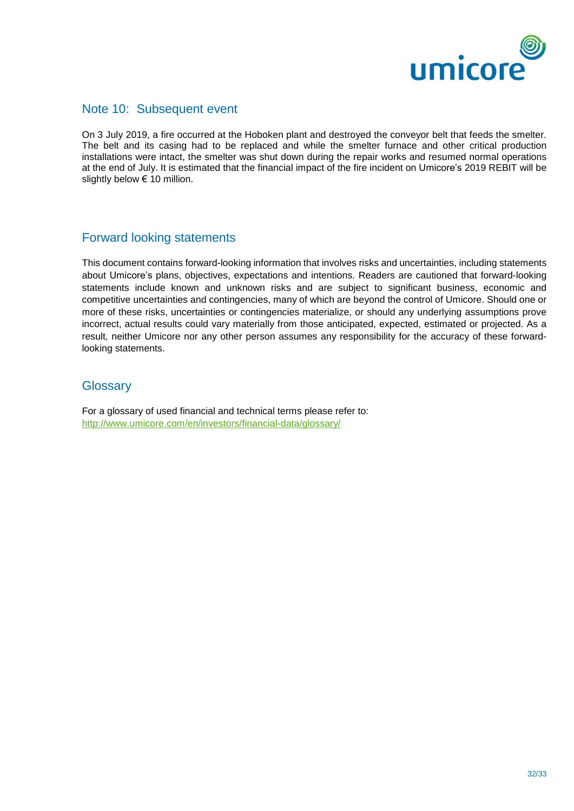

### Note 10: Subsequent event

On 3 July 2019, a fire occurred at the Hoboken plant and destroyed the conveyor belt that feeds the smelter. The belt and its casing had to be replaced and while the smelter furnace and other critical production installations were intact, the smelter was shut down during the repair works and resumed normal operations at the end of July. It is estimated that the financial impact of the fire incident on Umicore's 2019 REBIT will be slightly below € 10 million.

### Forward looking statements

This document contains forward-looking information that involves risks and uncertainties, including statements about Umicore's plans, objectives, expectations and intentions. Readers are cautioned that forward-looking statements include known and unknown risks and are subject to significant business, economic and competitive uncertainties and contingencies, many of which are beyond the control of Umicore. Should one or more of these risks, uncertainties or contingencies materialize, or should any underlying assumptions prove incorrect, actual results could vary materially from those anticipated, expected, estimated or projected. As a result, neither Umicore nor any other person assumes any responsibility for the accuracy of these forwardlooking statements.

### **Glossary**

For a glossary of used financial and technical terms please refer to: <http://www.umicore.com/en/investors/financial-data/glossary/>